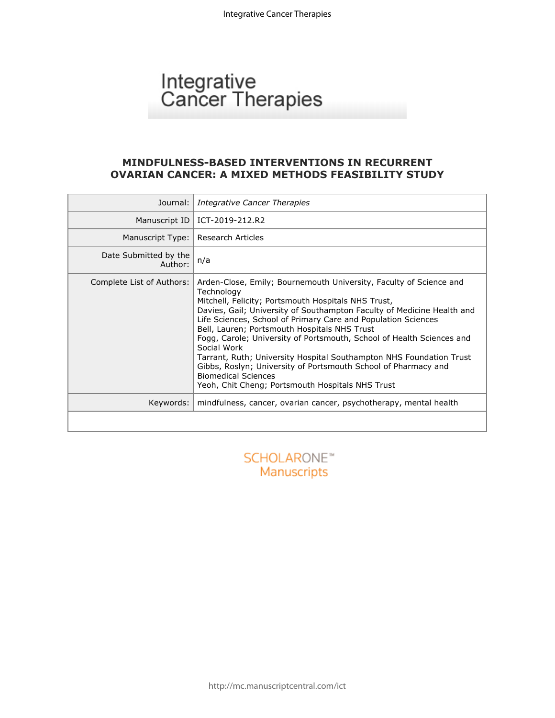# Integrative<br>Cancer Therapies

## **MINDFULNESS-BASED INTERVENTIONS IN RECURRENT OVARIAN CANCER: A MIXED METHODS FEASIBILITY STUDY**

| Journal:                         | Integrative Cancer Therapies                                                                                                                                                                                                                                                                                                                                                                                                                                                                                                                                                                                                                          |
|----------------------------------|-------------------------------------------------------------------------------------------------------------------------------------------------------------------------------------------------------------------------------------------------------------------------------------------------------------------------------------------------------------------------------------------------------------------------------------------------------------------------------------------------------------------------------------------------------------------------------------------------------------------------------------------------------|
| Manuscript ID                    | ICT-2019-212.R2                                                                                                                                                                                                                                                                                                                                                                                                                                                                                                                                                                                                                                       |
| Manuscript Type:                 | Research Articles                                                                                                                                                                                                                                                                                                                                                                                                                                                                                                                                                                                                                                     |
| Date Submitted by the<br>Author: | n/a                                                                                                                                                                                                                                                                                                                                                                                                                                                                                                                                                                                                                                                   |
| Complete List of Authors:        | Arden-Close, Emily; Bournemouth University, Faculty of Science and<br>Technology<br>Mitchell, Felicity; Portsmouth Hospitals NHS Trust,<br>Davies, Gail; University of Southampton Faculty of Medicine Health and<br>Life Sciences, School of Primary Care and Population Sciences<br>Bell, Lauren; Portsmouth Hospitals NHS Trust<br>Fogg, Carole; University of Portsmouth, School of Health Sciences and<br>Social Work<br>Tarrant, Ruth; University Hospital Southampton NHS Foundation Trust<br>Gibbs, Roslyn; University of Portsmouth School of Pharmacy and<br><b>Biomedical Sciences</b><br>Yeoh, Chit Cheng; Portsmouth Hospitals NHS Trust |
| Keywords:                        | mindfulness, cancer, ovarian cancer, psychotherapy, mental health                                                                                                                                                                                                                                                                                                                                                                                                                                                                                                                                                                                     |
|                                  |                                                                                                                                                                                                                                                                                                                                                                                                                                                                                                                                                                                                                                                       |
|                                  | <b>SCHOLARO</b><br>Manuscripts                                                                                                                                                                                                                                                                                                                                                                                                                                                                                                                                                                                                                        |

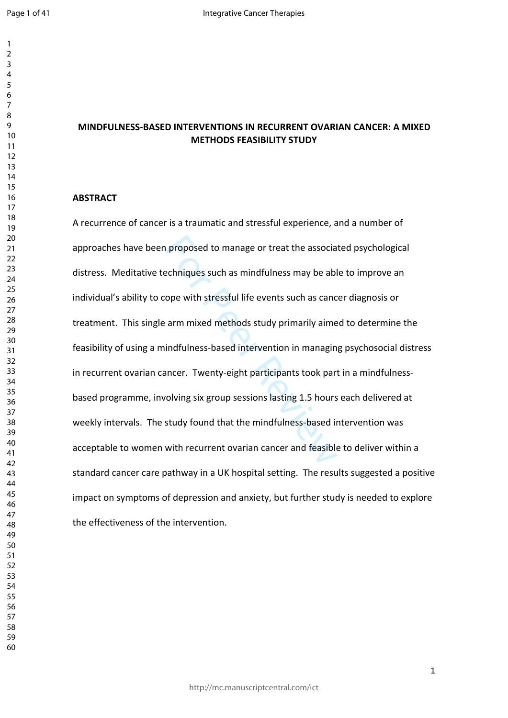$\mathbf{1}$  $\overline{2}$  $\overline{4}$  $\overline{7}$ 

# **MINDFULNESS-BASED INTERVENTIONS IN RECURRENT OVARIAN CANCER: A MIXED METHODS FEASIBILITY STUDY**

#### **ABSTRACT**

n proposed to manage or treat the associan<br>echniques such as mindfulness may be ablope with stressful life events such as cance<br>arm mixed methods study primarily aime<br>indfulness-based intervention in managin<br>ancer. Twenty-A recurrence of cancer is a traumatic and stressful experience, and a number of approaches have been proposed to manage or treat the associated psychological distress. Meditative techniques such as mindfulness may be able to improve an individual's ability to cope with stressful life events such as cancer diagnosis or treatment. This single arm mixed methods study primarily aimed to determine the feasibility of using a mindfulness-based intervention in managing psychosocial distress in recurrent ovarian cancer. Twenty-eight participants took part in a mindfulnessbased programme, involving six group sessions lasting 1.5 hours each delivered at weekly intervals. The study found that the mindfulness-based intervention was acceptable to women with recurrent ovarian cancer and feasible to deliver within a standard cancer care pathway in a UK hospital setting. The results suggested a positive impact on symptoms of depression and anxiety, but further study is needed to explore the effectiveness of the intervention.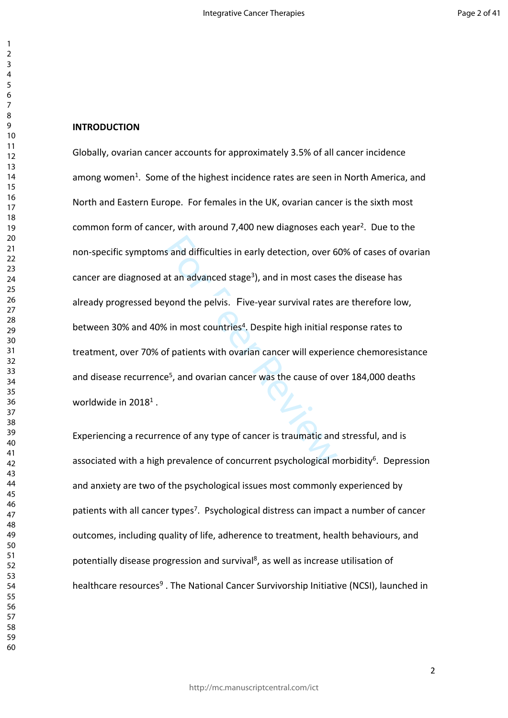#### **INTRODUCTION**

s and difficulties in early detection, over 6<br>at an advanced stage<sup>3</sup>), and in most cases<br>yond the pelvis. Five-year survival rates a<br>6 in most countries<sup>4</sup>. Despite high initial re<br>of patients with ovarian cancer will exp Globally, ovarian cancer accounts for approximately 3.5% of all cancer incidence among women<sup>1</sup>. Some of the highest incidence rates are seen in North America, and North and Eastern Europe. For females in the UK, ovarian cancer is the sixth most common form of cancer, with around 7,400 new diagnoses each year<sup>2</sup>. Due to the non-specific symptoms and difficulties in early detection, over 60% of cases of ovarian cancer are diagnosed at an advanced stage<sup>3</sup>), and in most cases the disease has already progressed beyond the pelvis. Five-year survival rates are therefore low, between 30% and 40% in most countries<sup>4</sup>. Despite high initial response rates to treatment, over 70% of patients with ovarian cancer will experience chemoresistance and disease recurrence<sup>5</sup>, and ovarian cancer was the cause of over 184,000 deaths worldwide in 2018<sup>1</sup>.

Experiencing a recurrence of any type of cancer is traumatic and stressful, and is associated with a high prevalence of concurrent psychological morbidity<sup>6</sup>. Depression and anxiety are two of the psychological issues most commonly experienced by patients with all cancer types<sup>7</sup>. Psychological distress can impact a number of cancer outcomes, including quality of life, adherence to treatment, health behaviours, and potentially disease progression and survival<sup>8</sup>, as well as increase utilisation of healthcare resources<sup>9</sup>. The National Cancer Survivorship Initiative (NCSI), launched in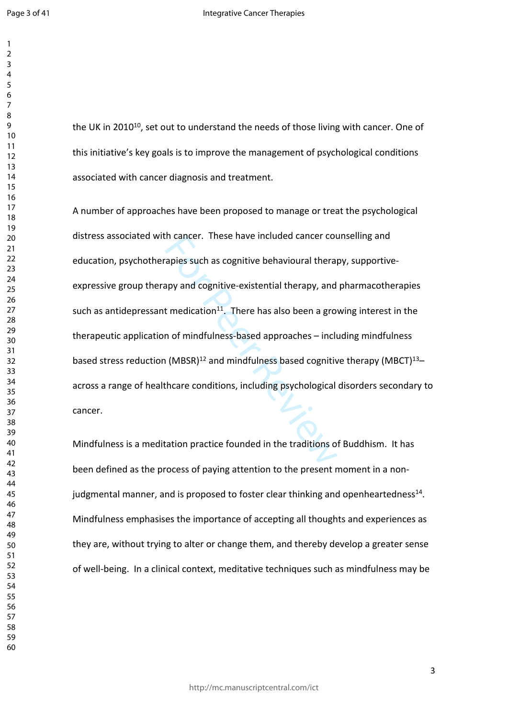the UK in 2010<sup>10</sup>, set out to understand the needs of those living with cancer. One of this initiative's key goals is to improve the management of psychological conditions associated with cancer diagnosis and treatment.

In cancer. These nave included cancer cot<br>apies such as cognitive behavioural theral<br>appy and cognitive-existential therapy, and<br>t medication<sup>11</sup>. There has also been a gro<br>n of mindfulness-based approaches – inclu<br>(MBSR)<sup></sup> A number of approaches have been proposed to manage or treat the psychological distress associated with cancer. These have included cancer counselling and education, psychotherapies such as cognitive behavioural therapy, supportiveexpressive group therapy and cognitive-existential therapy, and pharmacotherapies such as antidepressant medication<sup>11</sup>. There has also been a growing interest in the therapeutic application of mindfulness-based approaches – including mindfulness based stress reduction (MBSR)<sup>12</sup> and mindfulness based cognitive therapy (MBCT)<sup>13</sup>– across a range of healthcare conditions, including psychological disorders secondary to cancer.

Mindfulness is a meditation practice founded in the traditions of Buddhism. It has been defined as the process of paying attention to the present moment in a nonjudgmental manner, and is proposed to foster clear thinking and openheartedness<sup>14</sup>. Mindfulness emphasises the importance of accepting all thoughts and experiences as they are, without trying to alter or change them, and thereby develop a greater sense of well-being. In a clinical context, meditative techniques such as mindfulness may be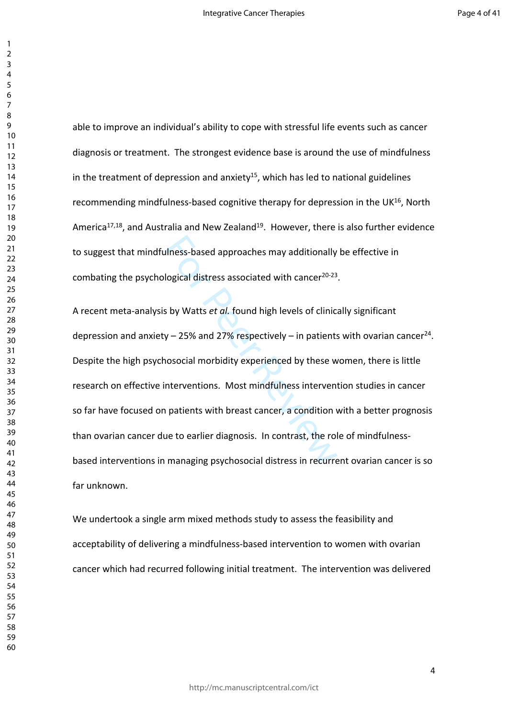able to improve an individual's ability to cope with stressful life events such as cancer diagnosis or treatment. The strongest evidence base is around the use of mindfulness in the treatment of depression and anxiety<sup>15</sup>, which has led to national guidelines recommending mindfulness-based cognitive therapy for depression in the UK<sup>16</sup>, North America<sup>17,18</sup>, and Australia and New Zealand<sup>19</sup>. However, there is also further evidence to suggest that mindfulness-based approaches may additionally be effective in combating the psychological distress associated with cancer<sup>20-23</sup>.

ulness-based approaches may additionally<br>logical distress associated with cancer<sup>20-23</sup><br>s by Watts *et al.* found high levels of clinic<br>y – 25% and 27% respectively – in patients<br>nosocial morbidity experienced by these w<br>n A recent meta-analysis by Watts *et al.* found high levels of clinically significant depression and anxiety  $-25%$  and 27% respectively  $-$  in patients with ovarian cancer<sup>24</sup>. Despite the high psychosocial morbidity experienced by these women, there is little research on effective interventions. Most mindfulness intervention studies in cancer so far have focused on patients with breast cancer, a condition with a better prognosis than ovarian cancer due to earlier diagnosis. In contrast, the role of mindfulnessbased interventions in managing psychosocial distress in recurrent ovarian cancer is so far unknown.

We undertook a single arm mixed methods study to assess the feasibility and acceptability of delivering a mindfulness-based intervention to women with ovarian cancer which had recurred following initial treatment. The intervention was delivered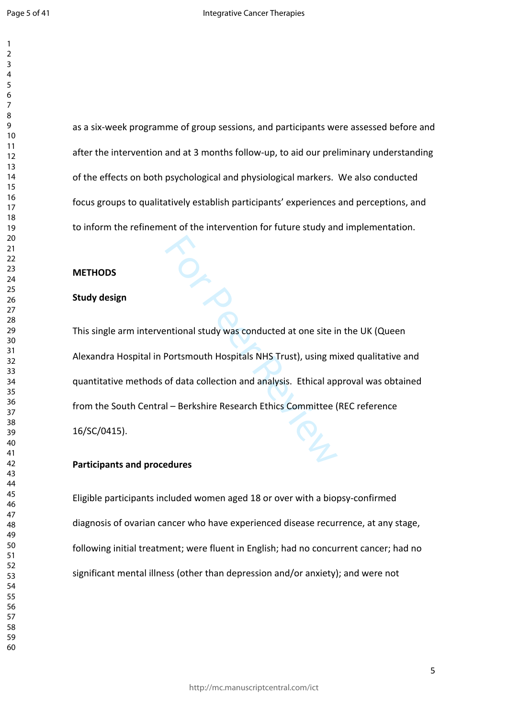as a six-week programme of group sessions, and participants were assessed before and after the intervention and at 3 months follow-up, to aid our preliminary understanding of the effects on both psychological and physiological markers. We also conducted focus groups to qualitatively establish participants' experiences and perceptions, and to inform the refinement of the intervention for future study and implementation.

### **METHODS**

#### **Study design**

entional study was conducted at one site in<br>Portsmouth Hospitals NHS Trust), using m<br>of data collection and analysis. Ethical ap<br>II – Berkshire Research Ethics Committee ( This single arm interventional study was conducted at one site in the UK (Queen Alexandra Hospital in Portsmouth Hospitals NHS Trust), using mixed qualitative and quantitative methods of data collection and analysis. Ethical approval was obtained from the South Central – Berkshire Research Ethics Committee (REC reference 16/SC/0415).

## **Participants and procedures**

Eligible participants included women aged 18 or over with a biopsy-confirmed diagnosis of ovarian cancer who have experienced disease recurrence, at any stage, following initial treatment; were fluent in English; had no concurrent cancer; had no significant mental illness (other than depression and/or anxiety); and were not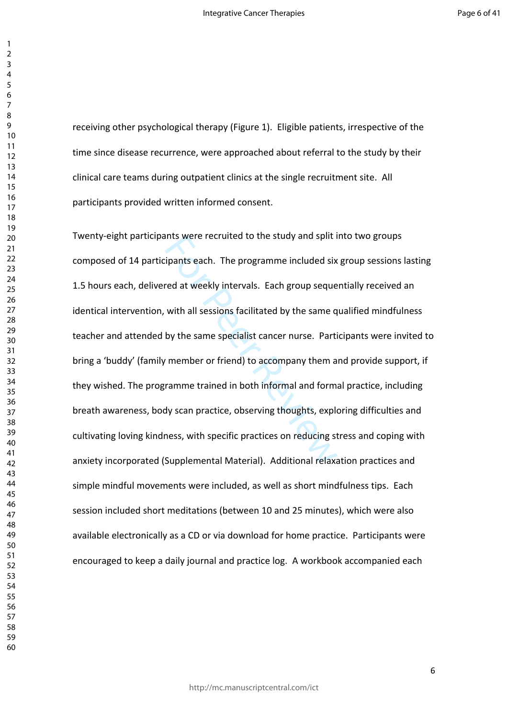receiving other psychological therapy (Figure 1). Eligible patients, irrespective of the time since disease recurrence, were approached about referral to the study by their clinical care teams during outpatient clinics at the single recruitment site. All participants provided written informed consent.

ints were recruited to the study and split is<br>ipants each. The programme included six<br>red at weekly intervals. Each group seque<br>with all sessions facilitated by the same q<br>by the same specialist cancer nurse. Parti<br>remmer Twenty-eight participants were recruited to the study and split into two groups composed of 14 participants each. The programme included six group sessions lasting 1.5 hours each, delivered at weekly intervals. Each group sequentially received an identical intervention, with all sessions facilitated by the same qualified mindfulness teacher and attended by the same specialist cancer nurse. Participants were invited to bring a 'buddy' (family member or friend) to accompany them and provide support, if they wished. The programme trained in both informal and formal practice, including breath awareness, body scan practice, observing thoughts, exploring difficulties and cultivating loving kindness, with specific practices on reducing stress and coping with anxiety incorporated (Supplemental Material). Additional relaxation practices and simple mindful movements were included, as well as short mindfulness tips. Each session included short meditations (between 10 and 25 minutes), which were also available electronically as a CD or via download for home practice. Participants were encouraged to keep a daily journal and practice log. A workbook accompanied each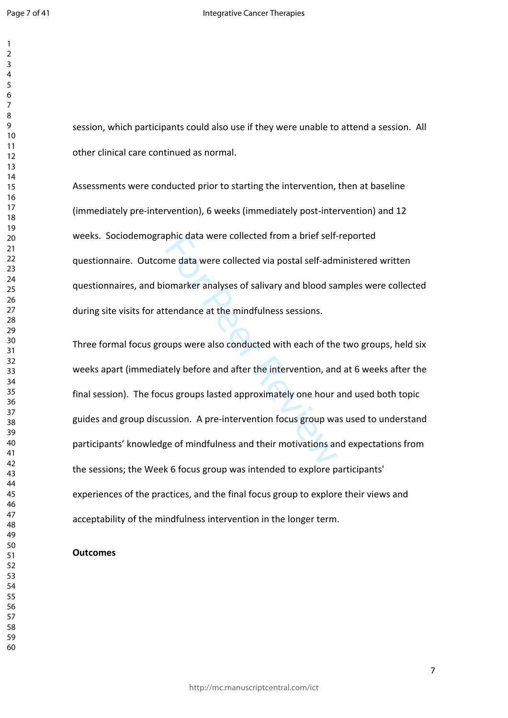session, which participants could also use if they were unable to attend a session. All other clinical care continued as normal.

Assessments were conducted prior to starting the intervention, then at baseline (immediately pre-intervention), 6 weeks (immediately post-intervention) and 12 weeks. Sociodemographic data were collected from a brief self-reported questionnaire. Outcome data were collected via postal self-administered written questionnaires, and biomarker analyses of salivary and blood samples were collected during site visits for attendance at the mindfulness sessions.

phic data were collected rrom a brier semme data were collected via postal self-adm<br>omarker analyses of salivary and blood sa<br>tendance at the mindfulness sessions.<br>bups were also conducted with each of the<br>tely before and Three formal focus groups were also conducted with each of the two groups, held six weeks apart (immediately before and after the intervention, and at 6 weeks after the final session). The focus groups lasted approximately one hour and used both topic guides and group discussion. A pre-intervention focus group was used to understand participants' knowledge of mindfulness and their motivations and expectations from the sessions; the Week 6 focus group was intended to explore participants' experiences of the practices, and the final focus group to explore their views and acceptability of the mindfulness intervention in the longer term.

#### **Outcomes**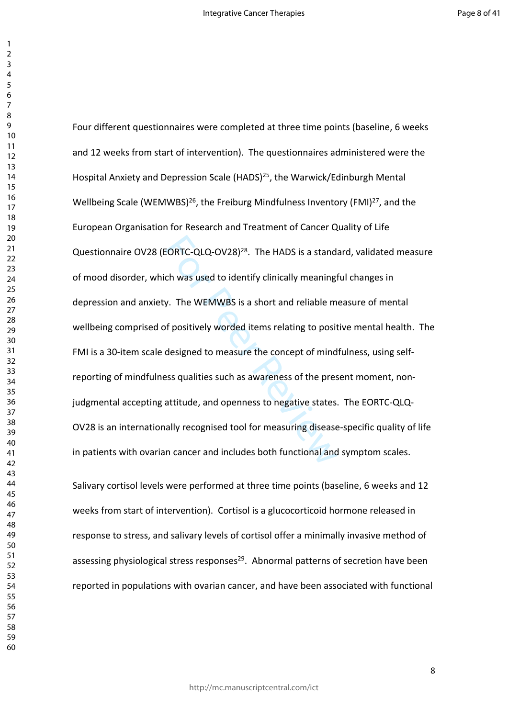EORTC-QLQ-OV28)<sup>28</sup>. The HADS is a stand<br>ch was used to identify clinically meaning<br>y. The WEMWBS is a short and reliable m<br>of positively worded items relating to posit<br>designed to measure the concept of mind<br>ess qualities Four different questionnaires were completed at three time points (baseline, 6 weeks and 12 weeks from start of intervention). The questionnaires administered were the Hospital Anxiety and Depression Scale (HADS)<sup>25</sup>, the Warwick/Edinburgh Mental Wellbeing Scale (WEMWBS)<sup>26</sup>, the Freiburg Mindfulness Inventory (FMI)<sup>27</sup>, and the European Organisation for Research and Treatment of Cancer Quality of Life Questionnaire OV28 (EORTC-QLQ-OV28)<sup>28</sup>. The HADS is a standard, validated measure of mood disorder, which was used to identify clinically meaningful changes in depression and anxiety. The WEMWBS is a short and reliable measure of mental wellbeing comprised of positively worded items relating to positive mental health. The FMI is a 30-item scale designed to measure the concept of mindfulness, using selfreporting of mindfulness qualities such as awareness of the present moment, nonjudgmental accepting attitude, and openness to negative states. The EORTC-QLQ-OV28 is an internationally recognised tool for measuring disease-specific quality of life in patients with ovarian cancer and includes both functional and symptom scales.

Salivary cortisol levels were performed at three time points (baseline, 6 weeks and 12 weeks from start of intervention). Cortisol is a glucocorticoid hormone released in response to stress, and salivary levels of cortisol offer a minimally invasive method of assessing physiological stress responses<sup>29</sup>. Abnormal patterns of secretion have been reported in populations with ovarian cancer, and have been associated with functional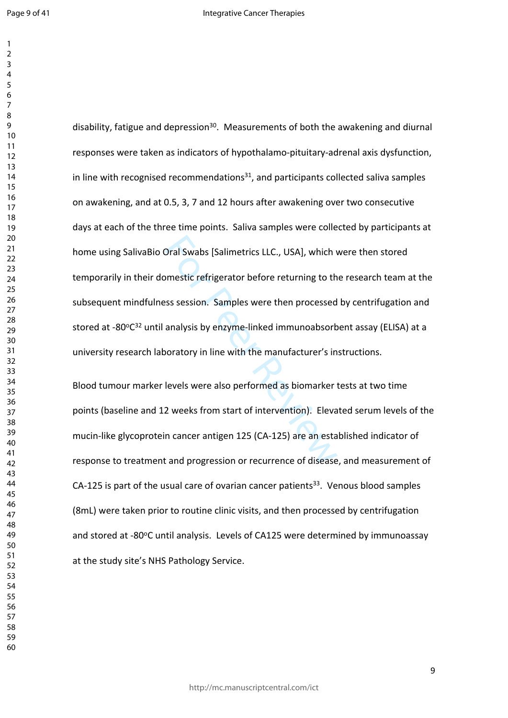Dral Swabs [Salimetrics LLC., USA], which w<br>Simestic refrigerator before returning to the<br>sss session. Samples were then processed<br>analysis by enzyme-linked immunoabsorb<br>poratory in line with the manufacturer's in<br>levels w disability, fatigue and depression<sup>30</sup>. Measurements of both the awakening and diurnal responses were taken as indicators of hypothalamo-pituitary-adrenal axis dysfunction, in line with recognised recommendations, and participants collected saliva samples on awakening, and at 0.5, 3, 7 and 12 hours after awakening over two consecutive days at each of the three time points. Saliva samples were collected by participants at home using SalivaBio Oral Swabs [Salimetrics LLC., USA], which were then stored temporarily in their domestic refrigerator before returning to the research team at the subsequent mindfulness session. Samples were then processed by centrifugation and stored at -80°C<sup>32</sup> until analysis by enzyme-linked immunoabsorbent assay (ELISA) at a university research laboratory in line with the manufacturer's instructions.

Blood tumour marker levels were also performed as biomarker tests at two time points (baseline and 12 weeks from start of intervention). Elevated serum levels of the mucin-like glycoprotein cancer antigen 125 (CA-125) are an established indicator of response to treatment and progression or recurrence of disease, and measurement of CA-125 is part of the usual care of ovarian cancer patients<sup>33</sup>. Venous blood samples (8mL) were taken prior to routine clinic visits, and then processed by centrifugation and stored at -80°C until analysis. Levels of CA125 were determined by immunoassay at the study site's NHS Pathology Service.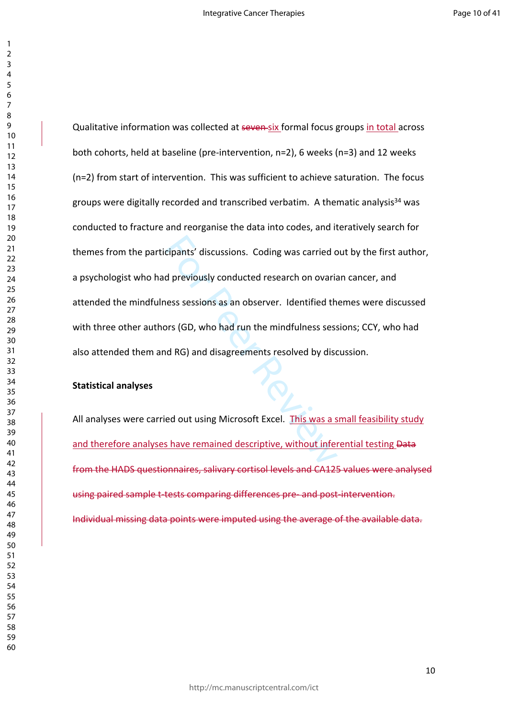cipants' discussions. Coding was carried c<br>d previously conducted research on ovaria<br>ness sessions as an observer. Identified th<br>prs (GD, who had run the mindfulness sess<br>nd RG) and disagreements resolved by disc<br>ed out us Qualitative information was collected at seven six formal focus groups in total across both cohorts, held at baseline (pre-intervention, n=2), 6 weeks (n=3) and 12 weeks (n=2) from start of intervention. This was sufficient to achieve saturation. The focus groups were digitally recorded and transcribed verbatim. A thematic analysis<sup>34</sup> was conducted to fracture and reorganise the data into codes, and iteratively search for themes from the participants' discussions. Coding was carried out by the first author, a psychologist who had previously conducted research on ovarian cancer, and attended the mindfulness sessions as an observer. Identified themes were discussed with three other authors (GD, who had run the mindfulness sessions; CCY, who had also attended them and RG) and disagreements resolved by discussion.

#### **Statistical analyses**

All analyses were carried out using Microsoft Excel. This was a small feasibility study and therefore analyses have remained descriptive, without inferential testing Data from the HADS questionnaires, salivary cortisol levels and CA125 values were analysed using paired sample t-tests comparing differences pre- and post-intervention. Individual missing data points were imputed using the average of the available data.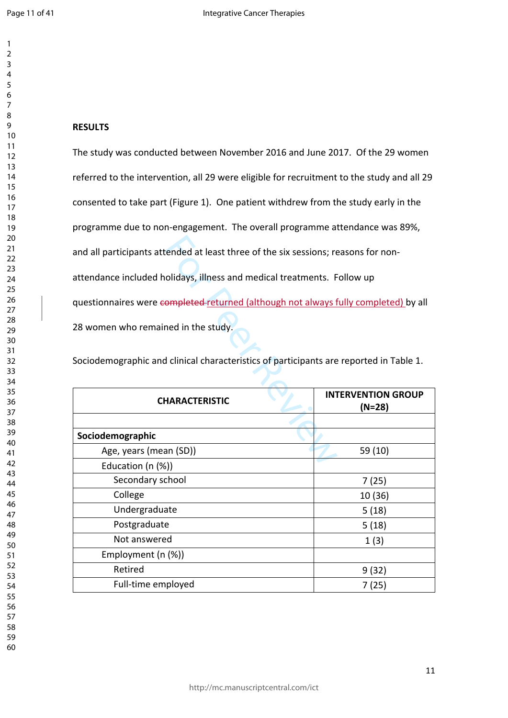$\mathbf{1}$ 

 

## **RESULTS**

Example the six sessions; recorded at least three of the six sessions; recorded at least three of the six sessions; recordidays, illness and medical treatments. For empleted returned (although not always for empleted retur The study was conducted between November 2016 and June 2017. Of the 29 women referred to the intervention, all 29 were eligible for recruitment to the study and all 29 consented to take part (Figure 1). One patient withdrew from the study early in the programme due to non-engagement. The overall programme attendance was 89%, and all participants attended at least three of the six sessions; reasons for nonattendance included holidays, illness and medical treatments. Follow up questionnaires were completed returned (although not always fully completed) by all 28 women who remained in the study.

Sociodemographic and clinical characteristics of participants are reported in Table 1.

| <b>CHARACTERISTIC</b>  | <b>INTERVENTION GROUP</b><br>$(N=28)$ |
|------------------------|---------------------------------------|
|                        |                                       |
| Sociodemographic       |                                       |
| Age, years (mean (SD)) | 59 (10)                               |
| Education (n (%))      |                                       |
| Secondary school       | 7(25)                                 |
| College                | 10 (36)                               |
| Undergraduate          | 5(18)                                 |
| Postgraduate           | 5(18)                                 |
| Not answered           | 1(3)                                  |
| Employment (n (%))     |                                       |
| Retired                | 9(32)                                 |
| Full-time employed     | 7(25)                                 |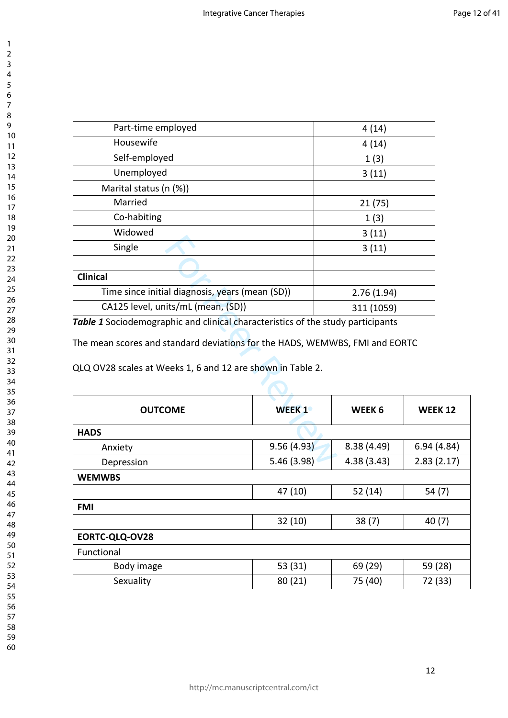| Part-time employed                                                              |              | 4(14)             |            |  |
|---------------------------------------------------------------------------------|--------------|-------------------|------------|--|
| Housewife                                                                       |              | 4(14)             |            |  |
| Self-employed                                                                   |              | 1(3)              |            |  |
| Unemployed                                                                      |              | 3(11)             |            |  |
| Marital status (n (%))                                                          |              |                   |            |  |
| Married                                                                         |              | 21(75)            |            |  |
| Co-habiting                                                                     |              | 1(3)              |            |  |
| Widowed                                                                         |              | 3(11)             |            |  |
| Single                                                                          |              | 3(11)             |            |  |
|                                                                                 |              |                   |            |  |
| <b>Clinical</b>                                                                 |              |                   |            |  |
| Time since initial diagnosis, years (mean (SD))                                 |              | 2.76(1.94)        |            |  |
| CA125 level, units/mL (mean, (SD))                                              |              | 311 (1059)        |            |  |
| Table 1 Sociodemographic and clinical characteristics of the study participants |              |                   |            |  |
| The mean scores and standard deviations for the HADS, WEMWBS, FMI and EORTC     |              |                   |            |  |
| QLQ OV28 scales at Weeks 1, 6 and 12 are shown in Table 2.                      |              |                   |            |  |
| <b>OUTCOME</b>                                                                  | <b>WEEK1</b> | WEEK <sub>6</sub> | <b>WEI</b> |  |
| <b>HADS</b>                                                                     |              |                   |            |  |
| Anxiety                                                                         | 9.56(4.93)   | 8.38 (4.49)       | 6.94       |  |
| Depression                                                                      | 5.46(3.98)   | 4.38 (3.43)       | 2.83       |  |

| <b>WEEK1</b>   | WEEK <sub>6</sub> | <b>WEEK 12</b> |  |  |
|----------------|-------------------|----------------|--|--|
|                |                   |                |  |  |
| 9.56(4.93)     | 8.38(4.49)        | 6.94(4.84)     |  |  |
| 5.46 (3.98)    | 4.38(3.43)        | 2.83(2.17)     |  |  |
| <b>WEMWBS</b>  |                   |                |  |  |
| 47 (10)        | 52 (14)           | 54 (7)         |  |  |
| <b>FMI</b>     |                   |                |  |  |
| 32(10)         | 38(7)             | 40(7)          |  |  |
| EORTC-QLQ-OV28 |                   |                |  |  |
|                |                   |                |  |  |
| 53 (31)        | 69 (29)           | 59 (28)        |  |  |
| 80(21)         | 75 (40)           | 72 (33)        |  |  |
|                |                   |                |  |  |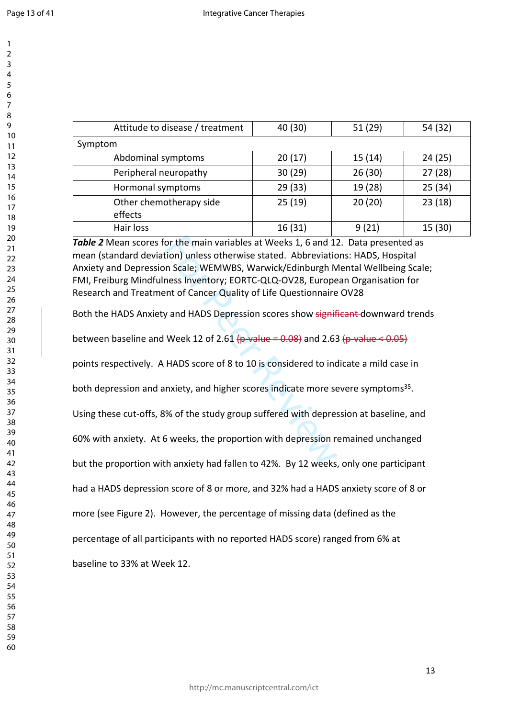$\mathbf{1}$ 

| Attitude to disease / treatment    | 40 (30) | 51(29)  | 54 (32) |
|------------------------------------|---------|---------|---------|
| Symptom                            |         |         |         |
| Abdominal symptoms                 | 20(17)  | 15(14)  | 24(25)  |
| Peripheral neuropathy              | 30(29)  | 26(30)  | 27(28)  |
| Hormonal symptoms                  | 29(33)  | 19 (28) | 25(34)  |
| Other chemotherapy side<br>effects | 25(19)  | 20(20)  | 23(18)  |
| Hair loss                          | 16(31)  | 9(21)   | 15 (30) |

or the main variables at Weeks 1, 6 and 12<br>tion) unless otherwise stated. Abbreviatic<br>m Scale; WEMWBS, Warwick/Edinburgh M<br>ness Inventory; EORTC-QLQ-OV28, Europe<br>ent of Cancer Quality of Life Questionnaire<br>y and HADS Depre *Table 2* Mean scores for the main variables at Weeks 1, 6 and 12. Data presented as mean (standard deviation) unless otherwise stated. Abbreviations: HADS, Hospital Anxiety and Depression Scale; WEMWBS, Warwick/Edinburgh Mental Wellbeing Scale; FMI, Freiburg Mindfulness Inventory; EORTC-QLQ-OV28, European Organisation for Research and Treatment of Cancer Quality of Life Questionnaire OV28

Both the HADS Anxiety and HADS Depression scores show significant-downward trends

between baseline and Week 12 of 2.61 ( $p$ -value = 0.08) and 2.63 ( $p$ -value < 0.05)

points respectively. A HADS score of 8 to 10 is considered to indicate a mild case in

both depression and anxiety, and higher scores indicate more severe symptoms<sup>35</sup>.

Using these cut-offs, 8% of the study group suffered with depression at baseline, and

60% with anxiety. At 6 weeks, the proportion with depression remained unchanged

but the proportion with anxiety had fallen to 42%. By 12 weeks, only one participant

had a HADS depression score of 8 or more, and 32% had a HADS anxiety score of 8 or

more (see Figure 2). However, the percentage of missing data (defined as the

percentage of all participants with no reported HADS score) ranged from 6% at

baseline to 33% at Week 12.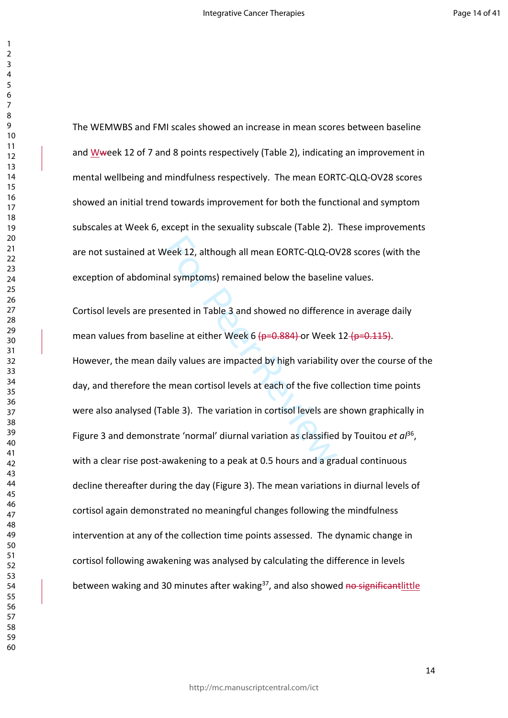The WEMWBS and FMI scales showed an increase in mean scores between baseline and Wweek 12 of 7 and 8 points respectively (Table 2), indicating an improvement in mental wellbeing and mindfulness respectively. The mean EORTC-QLQ-OV28 scores showed an initial trend towards improvement for both the functional and symptom subscales at Week 6, except in the sexuality subscale (Table 2). These improvements are not sustained at Week 12, although all mean EORTC-QLQ-OV28 scores (with the exception of abdominal symptoms) remained below the baseline values.

Veek 12, although all mean EORTC-QLQ-OV<br>al symptoms) remained below the baselin<br>sented in Table 3 and showed no differenc<br>eline at either Week 6 <del>(p=0.884)</del> or Week<br>aily values are impacted by high variability<br>e mean corti Cortisol levels are presented in Table 3 and showed no difference in average daily mean values from baseline at either Week 6  $(p=0.884)$  or Week 12  $(p=0.115)$ . However, the mean daily values are impacted by high variability over the course of the day, and therefore the mean cortisol levels at each of the five collection time points were also analysed (Table 3). The variation in cortisol levels are shown graphically in Figure 3 and demonstrate 'normal' diurnal variation as classified by Touitou et al<sup>36</sup>, with a clear rise post-awakening to a peak at 0.5 hours and a gradual continuous decline thereafter during the day (Figure 3). The mean variations in diurnal levels of cortisol again demonstrated no meaningful changes following the mindfulness intervention at any of the collection time points assessed. The dynamic change in cortisol following awakening was analysed by calculating the difference in levels between waking and 30 minutes after waking<sup>37</sup>, and also showed no significantlittle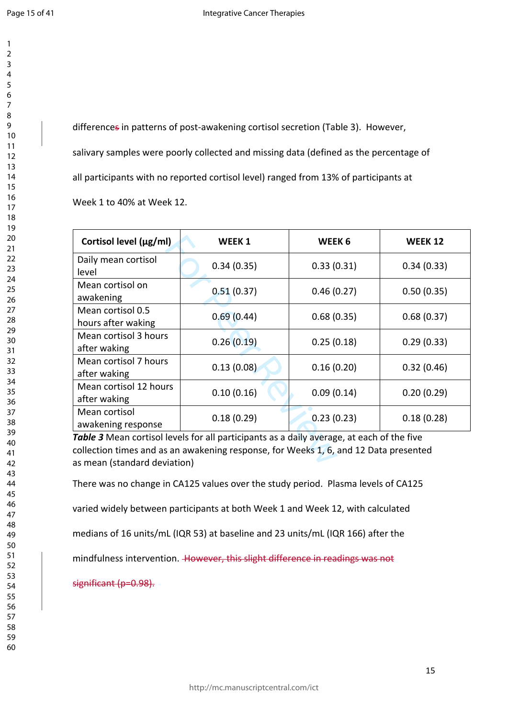$\mathbf{1}$ 

differences in patterns of post-awakening cortisol secretion (Table 3). However, salivary samples were poorly collected and missing data (defined as the percentage of all participants with no reported cortisol level) ranged from 13% of participants at Week 1 to 40% at Week 12.

| Cortisol level (µg/ml)                                                                    | <b>WEEK1</b>                 | WEEK <sub>6</sub> | <b>WEEK 12</b> |  |
|-------------------------------------------------------------------------------------------|------------------------------|-------------------|----------------|--|
| Daily mean cortisol<br>level                                                              | 0.34(0.35)                   | 0.33(0.31)        | 0.34(0.33)     |  |
| Mean cortisol on<br>awakening                                                             | 0.51(0.37)                   | 0.46(0.27)        | 0.50(0.35)     |  |
| Mean cortisol 0.5<br>hours after waking                                                   | 0.69(0.44)<br>0.68(0.35)     |                   | 0.68(0.37)     |  |
| Mean cortisol 3 hours<br>after waking                                                     | 0.26(0.19)                   | 0.25(0.18)        | 0.29(0.33)     |  |
| Mean cortisol 7 hours<br>after waking                                                     | 0.13(0.08)                   | 0.16(0.20)        | 0.32(0.46)     |  |
| Mean cortisol 12 hours<br>after waking                                                    | 0.10(0.16)                   | 0.09(0.14)        | 0.20(0.29)     |  |
| Mean cortisol<br>awakening response                                                       | 0.18(0.29)                   | 0.23(0.23)        | 0.18(0.28)     |  |
| Table 3 Mean cortisol levels for all participants as a daily average, at each of the five |                              |                   |                |  |
| collection times and as an awakening response, for Weeks 1, 6, and 12 Data presented      |                              |                   |                |  |
|                                                                                           | as mean (standard deviation) |                   |                |  |

There was no change in CA125 values over the study period. Plasma levels of CA125

varied widely between participants at both Week 1 and Week 12, with calculated

medians of 16 units/mL (IQR 53) at baseline and 23 units/mL (IQR 166) after the

mindfulness intervention. However, this slight difference in readings was not

significant (p=0.98).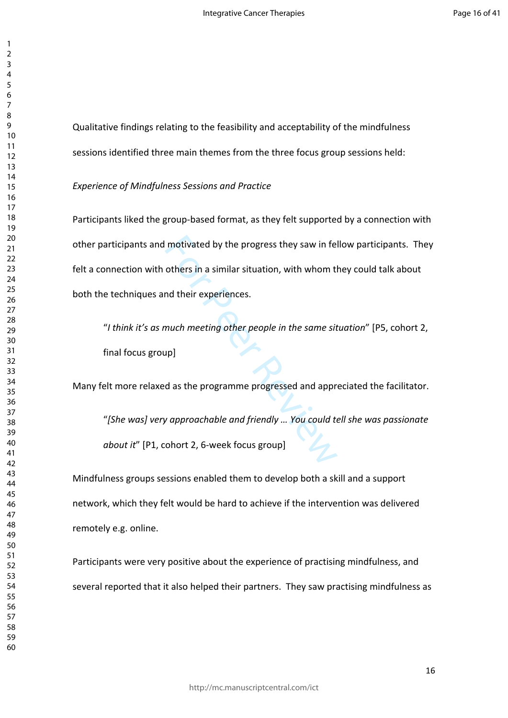Qualitative findings relating to the feasibility and acceptability of the mindfulness sessions identified three main themes from the three focus group sessions held:

*Experience of Mindfulness Sessions and Practice*

motivated by the progress they saw in ferothers in a similar situation, with whom the<br>others in a similar situation, with whom the<br>much meeting other people in the same situp<br>pl<br>pl<br>d as the programme progressed and approva Participants liked the group-based format, as they felt supported by a connection with other participants and motivated by the progress they saw in fellow participants. They felt a connection with others in a similar situation, with whom they could talk about both the techniques and their experiences.

"*I think it's as much meeting other people in the same situation*" [P5, cohort 2, final focus group]

Many felt more relaxed as the programme progressed and appreciated the facilitator.

"*[She was] very approachable and friendly … You could tell she was passionate about it*" [P1, cohort 2, 6-week focus group]

Mindfulness groups sessions enabled them to develop both a skill and a support network, which they felt would be hard to achieve if the intervention was delivered remotely e.g. online.

Participants were very positive about the experience of practising mindfulness, and several reported that it also helped their partners. They saw practising mindfulness as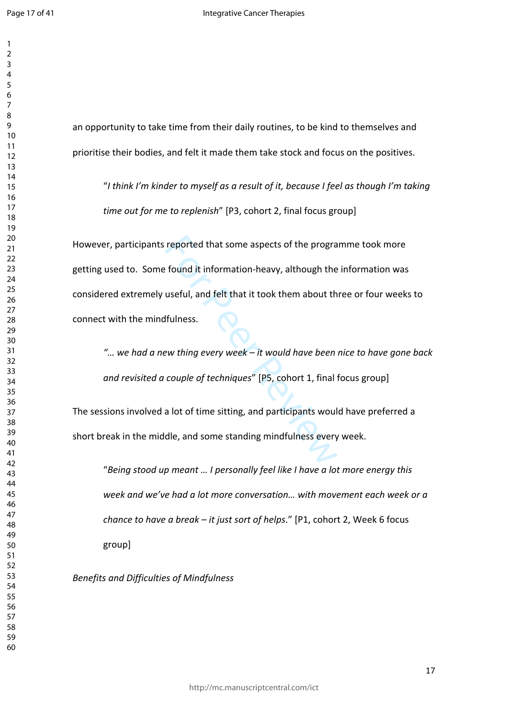an opportunity to take time from their daily routines, to be kind to themselves and prioritise their bodies, and felt it made them take stock and focus on the positives. "*I think I'm kinder to myself as a result of it, because I feel as though I'm taking* 

*time out for me to replenish*" [P3, cohort 2, final focus group]

reported that some aspects of the prographies of the prographies of found it information-heavy, although the useful, and felt that it took them about the studies.<br>
Hulness.<br>
Hulness.<br>
Hulness.<br>
Hulness.<br>
Hulness.<br>
Hulness. However, participants reported that some aspects of the programme took more getting used to. Some found it information-heavy, although the information was considered extremely useful, and felt that it took them about three or four weeks to connect with the mindfulness.

*"… we had a new thing every week – it would have been nice to have gone back and revisited a couple of techniques*" [P5, cohort 1, final focus group]

The sessions involved a lot of time sitting, and participants would have preferred a short break in the middle, and some standing mindfulness every week.

"*Being stood up meant … I personally feel like I have a lot more energy this week and we've had a lot more conversation… with movement each week or a chance to have a break – it just sort of helps*." [P1, cohort 2, Week 6 focus group]

*Benefits and Difficulties of Mindfulness*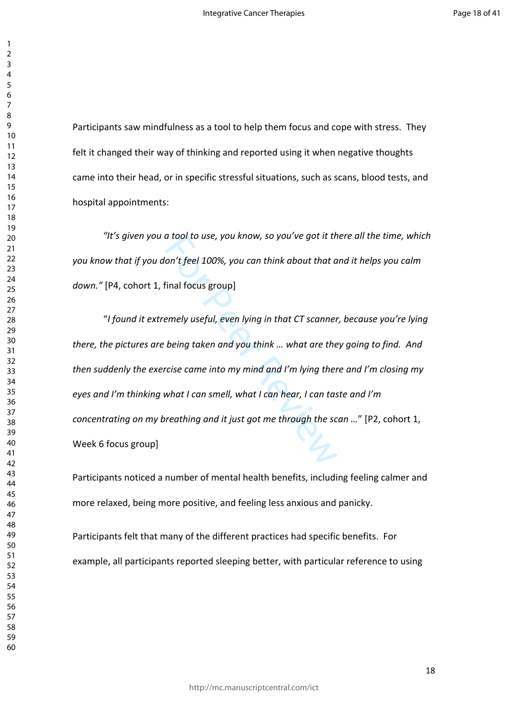Participants saw mindfulness as a tool to help them focus and cope with stress. They felt it changed their way of thinking and reported using it when negative thoughts came into their head, or in specific stressful situations, such as scans, blood tests, and hospital appointments:

*"It's given you a tool to use, you know, so you've got it there all the time, which you know that if you don't feel 100%, you can think about that and it helps you calm down."* [P4, cohort 1, final focus group]

a tool to use, you know, so you ve got it the<br>lon't feel 100%, you can think about that a<br>final focus group]<br>emely useful, even lying in that CT scanner<br>being taken and you think ... what are the<br>rcise came into my mind an "*I found it extremely useful, even lying in that CT scanner, because you're lying there, the pictures are being taken and you think … what are they going to find. And then suddenly the exercise came into my mind and I'm lying there and I'm closing my eyes and I'm thinking what I can smell, what I can hear, I can taste and I'm concentrating on my breathing and it just got me through the scan …*" [P2, cohort 1, Week 6 focus group]

Participants noticed a number of mental health benefits, including feeling calmer and more relaxed, being more positive, and feeling less anxious and panicky.

Participants felt that many of the different practices had specific benefits. For example, all participants reported sleeping better, with particular reference to using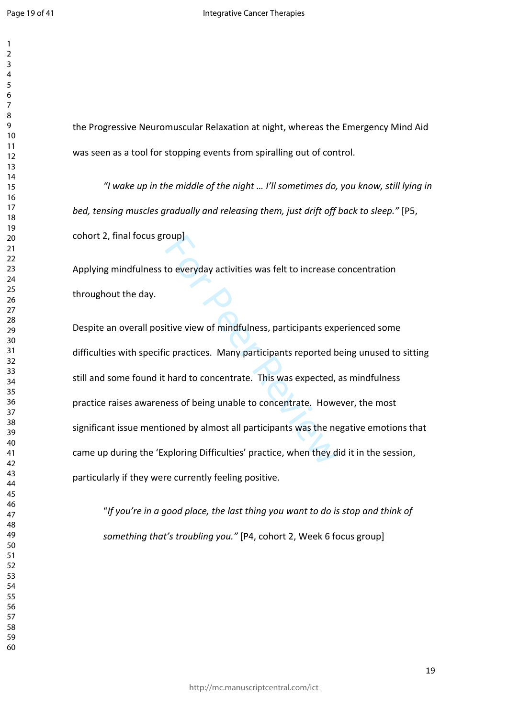$\mathbf{1}$  $\overline{2}$  $\overline{4}$  $\overline{7}$ 

the Progressive Neuromuscular Relaxation at night, whereas the Emergency Mind Aid was seen as a tool for stopping events from spiralling out of control.

*"I wake up in the middle of the night … I'll sometimes do, you know, still lying in bed, tensing muscles gradually and releasing them, just drift off back to sleep."* [P5, cohort 2, final focus group]

Applying mindfulness to everyday activities was felt to increase concentration throughout the day.

For Peeryday activities was felt to increase<br>For Peeryday activities was felt to increase<br>For Peractices. Many participants reported b<br>For Peractices. Many participants reported,<br>For Person Concentrate. However<br>For Person Despite an overall positive view of mindfulness, participants experienced some difficulties with specific practices. Many participants reported being unused to sitting still and some found it hard to concentrate. This was expected, as mindfulness practice raises awareness of being unable to concentrate. However, the most significant issue mentioned by almost all participants was the negative emotions that came up during the 'Exploring Difficulties' practice, when they did it in the session, particularly if they were currently feeling positive.

"*If you're in a good place, the last thing you want to do is stop and think of something that's troubling you."* [P4, cohort 2, Week 6 focus group]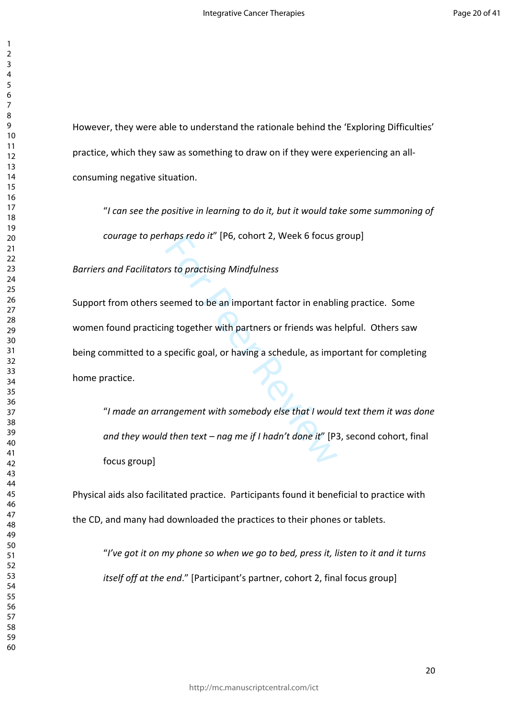However, they were able to understand the rationale behind the 'Exploring Difficulties' practice, which they saw as something to draw on if they were experiencing an allconsuming negative situation.

"*I can see the positive in learning to do it, but it would take some summoning of courage to perhaps redo it*" [P6, cohort 2, Week 6 focus group]

*Barriers and Facilitators to practising Mindfulness* 

maps reao It [P6, conort 2, week 6 focus]<br>rs to practising Mindfulness<br>eemed to be an important factor in enabli<br>ng together with partners or friends was h<br>specific goal, or having a schedule, as imp<br>angement with somebody Support from others seemed to be an important factor in enabling practice. Some women found practicing together with partners or friends was helpful. Others saw being committed to a specific goal, or having a schedule, as important for completing home practice.

"*I made an arrangement with somebody else that I would text them it was done and they would then text – nag me if I hadn't done it*" [P3, second cohort, final focus group]

Physical aids also facilitated practice. Participants found it beneficial to practice with the CD, and many had downloaded the practices to their phones or tablets.

"*I've got it on my phone so when we go to bed, press it, listen to it and it turns itself off at the end*." [Participant's partner, cohort 2, final focus group]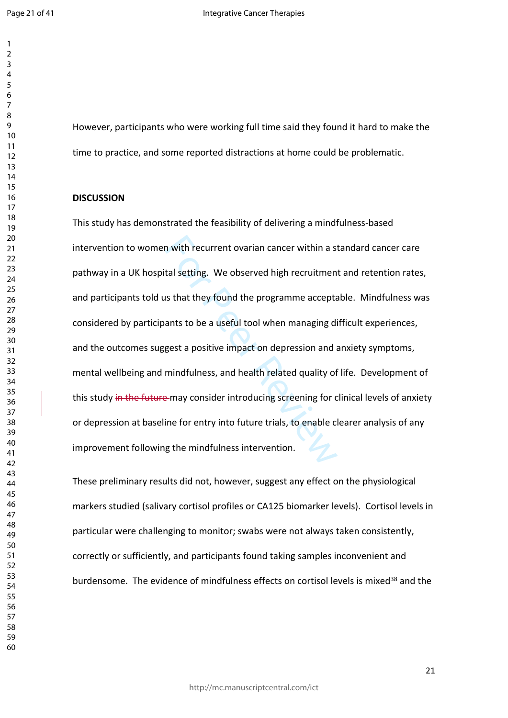However, participants who were working full time said they found it hard to make the time to practice, and some reported distractions at home could be problematic.

#### **DISCUSSION**

n with recurrent ovarian cancer within a stal setting. We observed high recruitmen<br>stal setting. We observed high recruitmen<br>ants to be a useful tool when managing di<br>gest a positive impact on depression and a<br>mindfulness, This study has demonstrated the feasibility of delivering a mindfulness-based intervention to women with recurrent ovarian cancer within a standard cancer care pathway in a UK hospital setting. We observed high recruitment and retention rates, and participants told us that they found the programme acceptable. Mindfulness was considered by participants to be a useful tool when managing difficult experiences, and the outcomes suggest a positive impact on depression and anxiety symptoms, mental wellbeing and mindfulness, and health related quality of life. Development of this study in the future may consider introducing screening for clinical levels of anxiety or depression at baseline for entry into future trials, to enable clearer analysis of any improvement following the mindfulness intervention.

These preliminary results did not, however, suggest any effect on the physiological markers studied (salivary cortisol profiles or CA125 biomarker levels). Cortisol levels in particular were challenging to monitor; swabs were not always taken consistently, correctly or sufficiently, and participants found taking samples inconvenient and burdensome. The evidence of mindfulness effects on cortisol levels is mixed<sup>38</sup> and the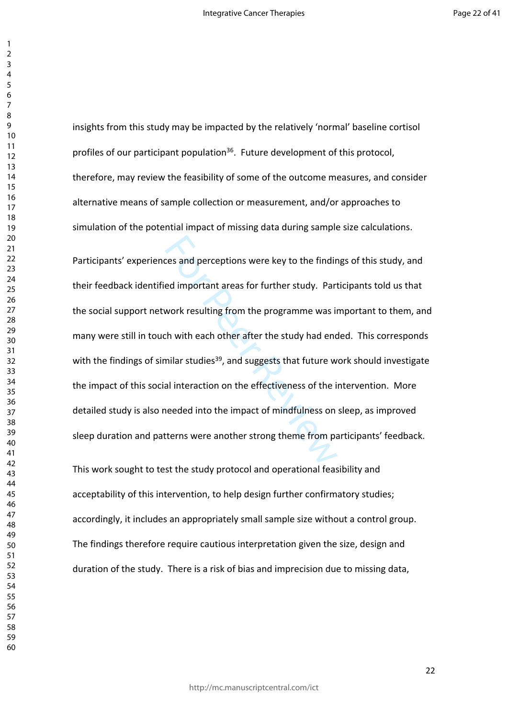insights from this study may be impacted by the relatively 'normal' baseline cortisol profiles of our participant population<sup>36</sup>. Future development of this protocol, therefore, may review the feasibility of some of the outcome measures, and consider alternative means of sample collection or measurement, and/or approaches to simulation of the potential impact of missing data during sample size calculations.

the sand perceptions were key to the findint<br>
red important areas for further study. Part<br>
work resulting from the programme was in<br>
th with each other after the study had encounter<br>
milar studies<sup>39</sup>, and suggests that fu Participants' experiences and perceptions were key to the findings of this study, and their feedback identified important areas for further study. Participants told us that the social support network resulting from the programme was important to them, and many were still in touch with each other after the study had ended. This corresponds with the findings of similar studies<sup>39</sup>, and suggests that future work should investigate the impact of this social interaction on the effectiveness of the intervention. More detailed study is also needed into the impact of mindfulness on sleep, as improved sleep duration and patterns were another strong theme from participants' feedback.

This work sought to test the study protocol and operational feasibility and acceptability of this intervention, to help design further confirmatory studies; accordingly, it includes an appropriately small sample size without a control group. The findings therefore require cautious interpretation given the size, design and duration of the study. There is a risk of bias and imprecision due to missing data,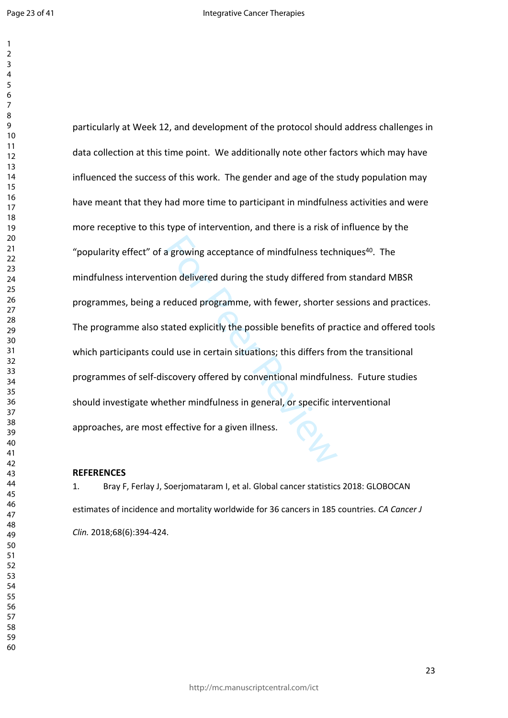a growing acceptance of mindfulness tech<br>ion delivered during the study differed fro<br>reduced programme, with fewer, shorter s<br>tated explicitly the possible benefits of pra<br>id use in certain situations; this differs fro<br>sco particularly at Week 12, and development of the protocol should address challenges in data collection at this time point. We additionally note other factors which may have influenced the success of this work. The gender and age of the study population may have meant that they had more time to participant in mindfulness activities and were more receptive to this type of intervention, and there is a risk of influence by the "popularity effect" of a growing acceptance of mindfulness techniques<sup>40</sup>. The mindfulness intervention delivered during the study differed from standard MBSR programmes, being a reduced programme, with fewer, shorter sessions and practices. The programme also stated explicitly the possible benefits of practice and offered tools which participants could use in certain situations; this differs from the transitional programmes of self-discovery offered by conventional mindfulness. Future studies should investigate whether mindfulness in general, or specific interventional approaches, are most effective for a given illness.

#### **REFERENCES**

1. Bray F, Ferlay J, Soerjomataram I, et al. Global cancer statistics 2018: GLOBOCAN estimates of incidence and mortality worldwide for 36 cancers in 185 countries. *CA Cancer J Clin.* 2018;68(6):394-424.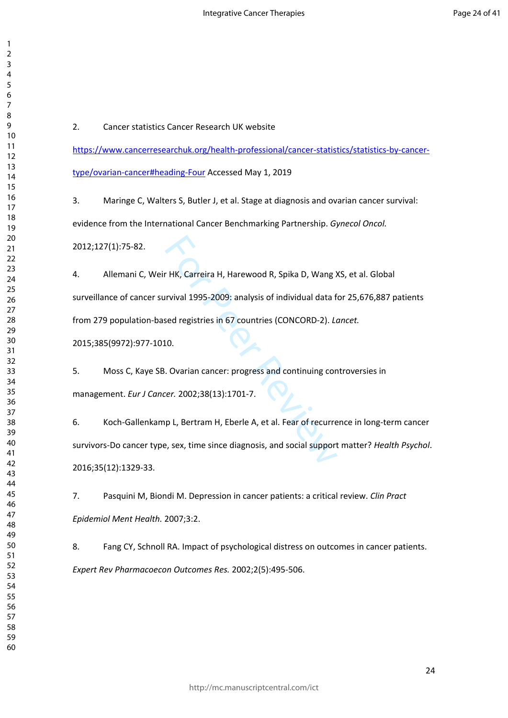2. Cancer statistics Cancer Research UK website

[https://www.cancerresearchuk.org/health-professional/cancer-statistics/statistics-by-cancer](https://www.cancerresearchuk.org/health-professional/cancer-statistics/statistics-by-cancer-type/ovarian-cancer#heading-Four)[type/ovarian-cancer#heading-Four](https://www.cancerresearchuk.org/health-professional/cancer-statistics/statistics-by-cancer-type/ovarian-cancer#heading-Four) Accessed May 1, 2019

3. Maringe C, Walters S, Butler J, et al. Stage at diagnosis and ovarian cancer survival: evidence from the International Cancer Benchmarking Partnership. *Gynecol Oncol.*

2012;127(1):75-82.

r HK, Carreira H, Harewood R, Spika D, Wang ><br>Irvival 1995-2009: analysis of individual data f<br>sed registries in 67 countries (CONCORD-2). *Ld*<br>10.<br>. Ovarian cancer: progress and continuing cor<br>rer. 2002;38(13):1701-7.<br>p L 4. Allemani C, Weir HK, Carreira H, Harewood R, Spika D, Wang XS, et al. Global surveillance of cancer survival 1995-2009: analysis of individual data for 25,676,887 patients from 279 population-based registries in 67 countries (CONCORD-2). *Lancet.* 2015;385(9972):977-1010.

5. Moss C, Kaye SB. Ovarian cancer: progress and continuing controversies in management. *Eur J Cancer.* 2002;38(13):1701-7.

6. Koch-Gallenkamp L, Bertram H, Eberle A, et al. Fear of recurrence in long-term cancer survivors-Do cancer type, sex, time since diagnosis, and social support matter? *Health Psychol*. 2016;35(12):1329-33.

7. Pasquini M, Biondi M. Depression in cancer patients: a critical review. *Clin Pract Epidemiol Ment Health.* 2007;3:2.

8. Fang CY, Schnoll RA. Impact of psychological distress on outcomes in cancer patients. *Expert Rev Pharmacoecon Outcomes Res.* 2002;2(5):495-506.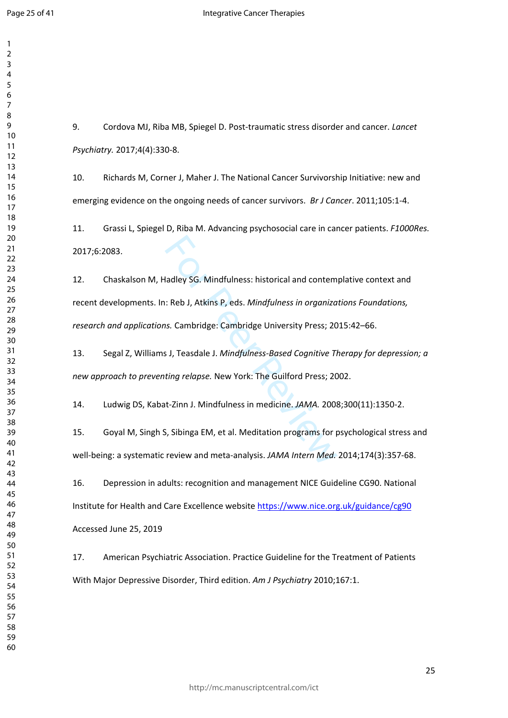9. Cordova MJ, Riba MB, Spiegel D. Post-traumatic stress disorder and cancer. *Lancet Psychiatry.* 2017;4(4):330-8.

10. Richards M, Corner J, Maher J. The National Cancer Survivorship Initiative: new and emerging evidence on the ongoing needs of cancer survivors. *Br J Cancer*. 2011;105:1-4.

11. Grassi L, Spiegel D, Riba M. Advancing psychosocial care in cancer patients. *F1000Res.* 2017;6:2083.

adley SG. Mindfulness: historical and contem<br>
1: Reb J, Atkins P, eds. *Mindfulness in organiza*<br>
1. Cambridge: Cambridge University Press; 20<br>
1. Teasdale J. *Mindfulness-Based Cognitive Tl*<br>
1. The Guilford Press; 20<br>
1. 12. Chaskalson M, Hadley SG. Mindfulness: historical and contemplative context and recent developments. In: Reb J, Atkins P, eds. *Mindfulness in organizations Foundations, research and applications.* Cambridge: Cambridge University Press; 2015:42–66.

13. Segal Z, Williams J, Teasdale J. *Mindfulness-Based Cognitive Therapy for depression; a new approach to preventing relapse.* New York: The Guilford Press; 2002.

14. Ludwig DS, Kabat-Zinn J. Mindfulness in medicine. *JAMA.* 2008;300(11):1350-2.

15. Goyal M, Singh S, Sibinga EM, et al. Meditation programs for psychological stress and well-being: a systematic review and meta-analysis. *JAMA Intern Med.* 2014;174(3):357-68.

16. Depression in adults: recognition and management NICE Guideline CG90. National Institute for Health and Care Excellence website <https://www.nice.org.uk/guidance/cg90> Accessed June 25, 2019

17. American Psychiatric Association. Practice Guideline for the Treatment of Patients With Major Depressive Disorder, Third edition. *Am J Psychiatry* 2010;167:1.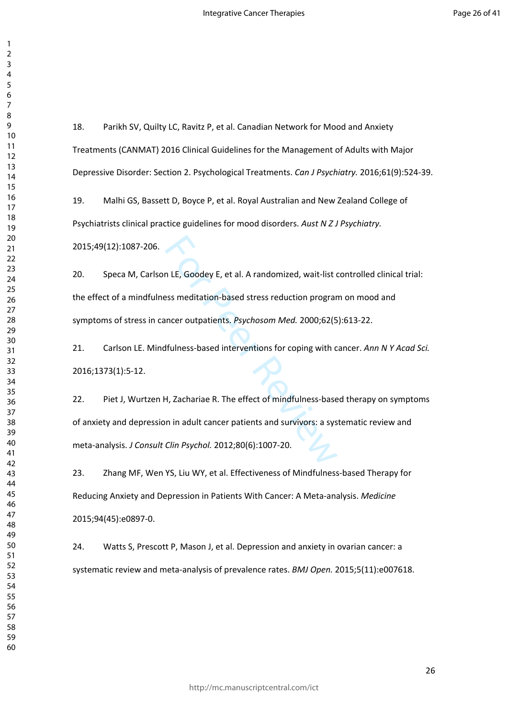18. Parikh SV, Quilty LC, Ravitz P, et al. Canadian Network for Mood and Anxiety Treatments (CANMAT) 2016 Clinical Guidelines for the Management of Adults with Major Depressive Disorder: Section 2. Psychological Treatments. *Can J Psychiatry.* 2016;61(9):524-39.

19. Malhi GS, Bassett D, Boyce P, et al. Royal Australian and New Zealand College of Psychiatrists clinical practice guidelines for mood disorders. *Aust N Z J Psychiatry.*

2015;49(12):1087-206.

20. Speca M, Carlson LE, Goodey E, et al. A randomized, wait-list controlled clinical trial: the effect of a mindfulness meditation-based stress reduction program on mood and symptoms of stress in cancer outpatients. *Psychosom Med.* 2000;62(5):613-22.

21. Carlson LE. Mindfulness-based interventions for coping with cancer. *Ann N Y Acad Sci.* 2016;1373(1):5-12.

n LE, Goodey E, et al. A randomized, wait-list compared and the sess meditation-based stress reduction program<br>
Incer outpatients. Psychosom Med. 2000;62(5<br>
Ifulness-based interventions for coping with compared interventio 22. Piet J, Wurtzen H, Zachariae R. The effect of mindfulness-based therapy on symptoms of anxiety and depression in adult cancer patients and survivors: a systematic review and meta-analysis. *J Consult Clin Psychol.* 2012;80(6):1007-20.

23. Zhang MF, Wen YS, Liu WY, et al. Effectiveness of Mindfulness-based Therapy for Reducing Anxiety and Depression in Patients With Cancer: A Meta-analysis. *Medicine* 2015;94(45):e0897-0.

24. Watts S, Prescott P, Mason J, et al. Depression and anxiety in ovarian cancer: a systematic review and meta-analysis of prevalence rates. *BMJ Open.* 2015;5(11):e007618.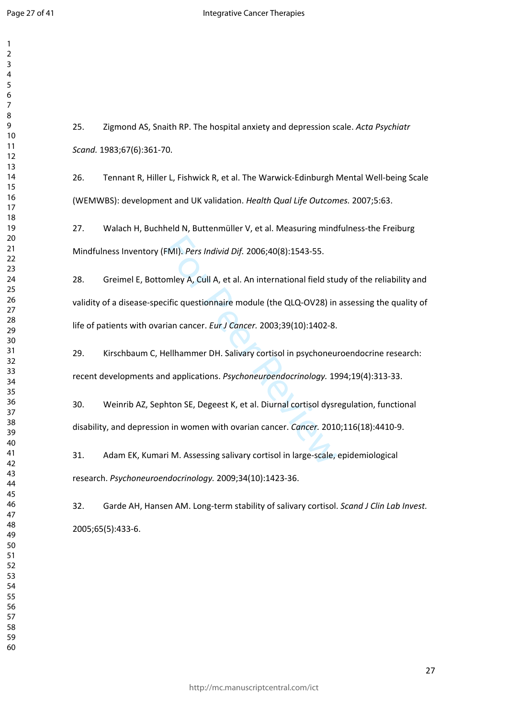$\mathbf{1}$  $\overline{2}$  $\overline{3}$ 

 

25. Zigmond AS, Snaith RP. The hospital anxiety and depression scale. *Acta Psychiatr Scand.* 1983;67(6):361-70.

26. Tennant R, Hiller L, Fishwick R, et al. The Warwick-Edinburgh Mental Well-being Scale (WEMWBS): development and UK validation. *Health Qual Life Outcomes.* 2007;5:63.

27. Walach H, Buchheld N, Buttenmüller V, et al. Measuring mindfulness-the Freiburg Mindfulness Inventory (FMI). *Pers Individ Dif.* 2006;40(8):1543-55.

FMI). *Pers Individ Dif.* 2006;40(8):1543-55.<br>
mley A, Cull A, et al. An international field sturning A, Cull A, et al. An international field sturning<br>
ristic questionnaire module (the QLQ-OV28) in<br>
rian cancer. *Eur J Ca* 28. Greimel E, Bottomley A, Cull A, et al. An international field study of the reliability and validity of a disease-specific questionnaire module (the QLQ-OV28) in assessing the quality of life of patients with ovarian cancer. *Eur J Cancer.* 2003;39(10):1402-8.

29. Kirschbaum C, Hellhammer DH. Salivary cortisol in psychoneuroendocrine research: recent developments and applications. *Psychoneuroendocrinology.* 1994;19(4):313-33.

30. Weinrib AZ, Sephton SE, Degeest K, et al. Diurnal cortisol dysregulation, functional disability, and depression in women with ovarian cancer. *Cancer.* 2010;116(18):4410-9.

31. Adam EK, Kumari M. Assessing salivary cortisol in large-scale, epidemiological research. *Psychoneuroendocrinology.* 2009;34(10):1423-36.

32. Garde AH, Hansen AM. Long-term stability of salivary cortisol. *Scand J Clin Lab Invest.* 2005;65(5):433-6.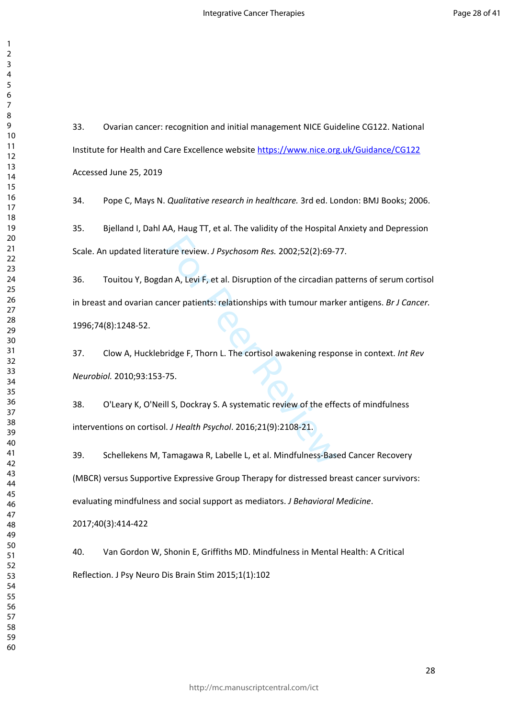33. Ovarian cancer: recognition and initial management NICE Guideline CG122. National Institute for Health and Care Excellence website <https://www.nice.org.uk/Guidance/CG122> Accessed June 25, 2019

34. Pope C, Mays N. *Qualitative research in healthcare.* 3rd ed. London: BMJ Books; 2006.

35. Bjelland I, Dahl AA, Haug TT, et al. The validity of the Hospital Anxiety and Depression Scale. An updated literature review. *J Psychosom Res.* 2002;52(2):69-77.

ture review. *J Psychosom Res.* 2002;52(2):69-7<br>an A, Levi F, et al. Disruption of the circadian p<br>ncer patients: relationships with tumour mark<br>ridge F, Thorn L. The cortisol awakening respo<br>75.<br>II S, Dockray S. A systema 36. Touitou Y, Bogdan A, Levi F, et al. Disruption of the circadian patterns of serum cortisol in breast and ovarian cancer patients: relationships with tumour marker antigens. *Br J Cancer.* 1996;74(8):1248-52.

37. Clow A, Hucklebridge F, Thorn L. The cortisol awakening response in context. *Int Rev Neurobiol.* 2010;93:153-75.

38. O'Leary K, O'Neill S, Dockray S. A systematic review of the effects of mindfulness interventions on cortisol. *J Health Psychol*. 2016;21(9):2108-21.

39. Schellekens M, Tamagawa R, Labelle L, et al. Mindfulness-Based Cancer Recovery (MBCR) versus Supportive Expressive Group Therapy for distressed breast cancer survivors: evaluating mindfulness and social support as mediators. *J Behavioral Medicine*.

2017;40(3):414-422

40. Van Gordon W, Shonin E, Griffiths MD. Mindfulness in Mental Health: A Critical Reflection. J Psy Neuro Dis Brain Stim 2015;1(1):102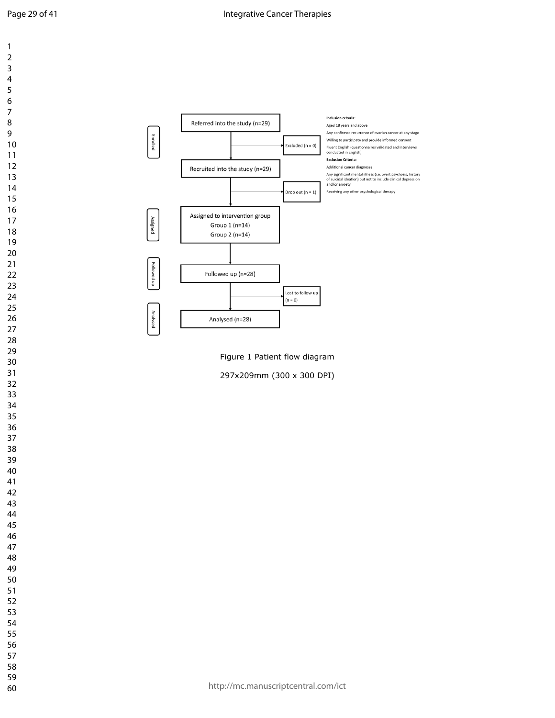$\mathbf{1}$  $\overline{2}$  $\mathsf 3$  $\overline{4}$  $\boldsymbol{6}$  $\overline{7}$ 

 $\bf 8$ 



Figure 1 Patient flow diagram

297x209mm (300 x 300 DPI)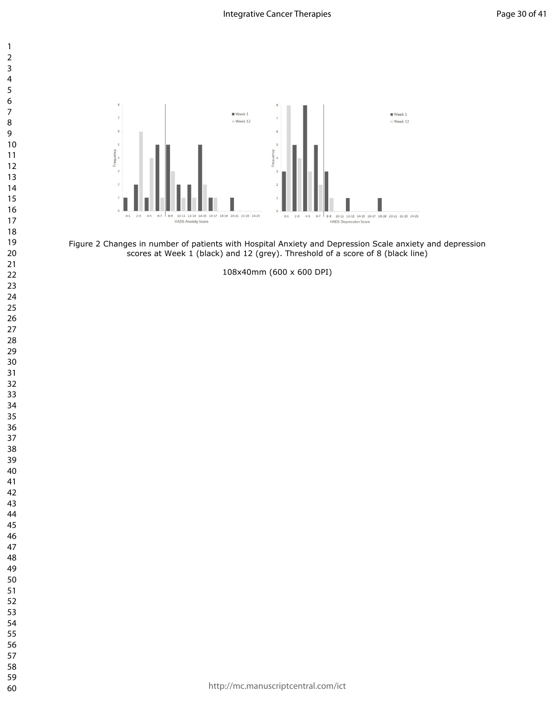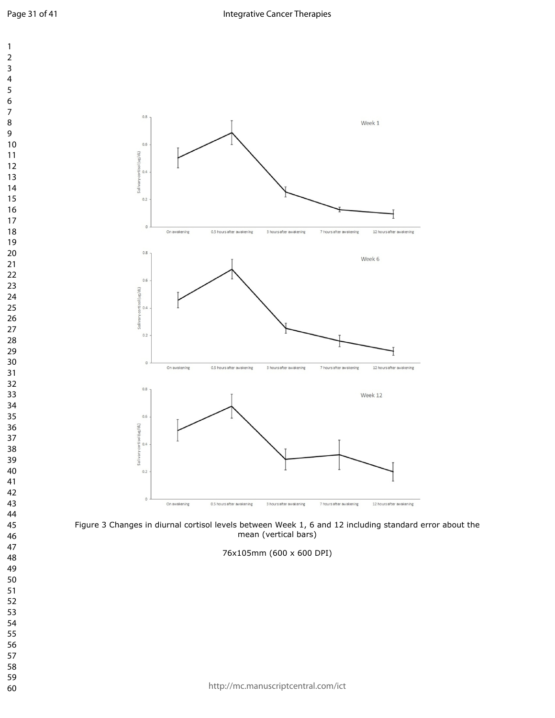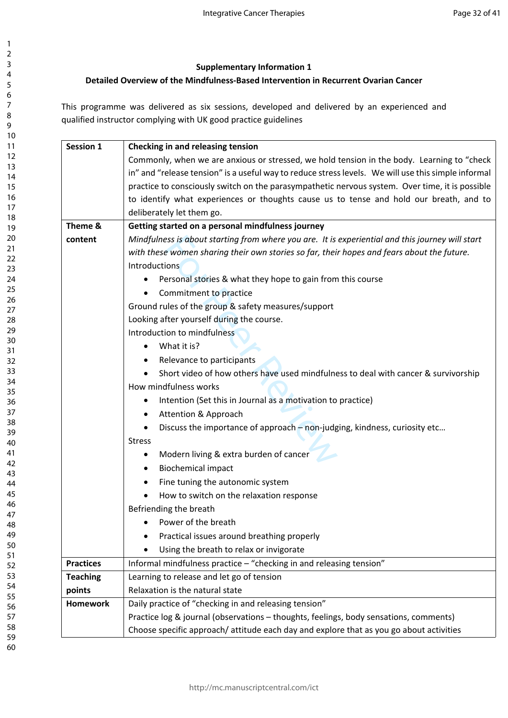## **Supplementary Information 1**

# **Detailed Overview of the Mindfulness-Based Intervention in Recurrent Ovarian Cancer**

This programme was delivered as six sessions, developed and delivered by an experienced and qualified instructor complying with UK good practice guidelines

| <b>Session 1</b> | Checking in and releasing tension                                                                   |  |  |
|------------------|-----------------------------------------------------------------------------------------------------|--|--|
|                  | Commonly, when we are anxious or stressed, we hold tension in the body. Learning to "check          |  |  |
|                  | in" and "release tension" is a useful way to reduce stress levels. We will use this simple informal |  |  |
|                  | practice to consciously switch on the parasympathetic nervous system. Over time, it is possible     |  |  |
|                  | to identify what experiences or thoughts cause us to tense and hold our breath, and to              |  |  |
|                  | deliberately let them go.                                                                           |  |  |
| Theme &          | Getting started on a personal mindfulness journey                                                   |  |  |
| content          | Mindfulness is about starting from where you are. It is experiential and this journey will start    |  |  |
|                  | with these women sharing their own stories so far, their hopes and fears about the future.          |  |  |
|                  | <b>Introductions</b>                                                                                |  |  |
|                  | Personal stories & what they hope to gain from this course                                          |  |  |
|                  | Commitment to practice                                                                              |  |  |
|                  | Ground rules of the group & safety measures/support                                                 |  |  |
|                  | Looking after yourself during the course.                                                           |  |  |
|                  | Introduction to mindfulness                                                                         |  |  |
|                  | What it is?                                                                                         |  |  |
|                  | Relevance to participants<br>٠                                                                      |  |  |
|                  | Short video of how others have used mindfulness to deal with cancer & survivorship                  |  |  |
|                  | How mindfulness works                                                                               |  |  |
|                  | Intention (Set this in Journal as a motivation to practice)                                         |  |  |
|                  | Attention & Approach                                                                                |  |  |
|                  | Discuss the importance of approach - non-judging, kindness, curiosity etc                           |  |  |
|                  | <b>Stress</b>                                                                                       |  |  |
|                  | Modern living & extra burden of cancer<br>٠                                                         |  |  |
|                  | <b>Biochemical impact</b><br>٠                                                                      |  |  |
|                  | Fine tuning the autonomic system<br>٠                                                               |  |  |
|                  | How to switch on the relaxation response                                                            |  |  |
|                  | Befriending the breath                                                                              |  |  |
|                  | Power of the breath<br>٠                                                                            |  |  |
|                  | Practical issues around breathing properly                                                          |  |  |
|                  | Using the breath to relax or invigorate                                                             |  |  |
| <b>Practices</b> | Informal mindfulness practice - "checking in and releasing tension"                                 |  |  |
| <b>Teaching</b>  | Learning to release and let go of tension                                                           |  |  |
| points           | Relaxation is the natural state                                                                     |  |  |
| <b>Homework</b>  | Daily practice of "checking in and releasing tension"                                               |  |  |
|                  | Practice log & journal (observations - thoughts, feelings, body sensations, comments)               |  |  |
|                  | Choose specific approach/attitude each day and explore that as you go about activities              |  |  |
|                  |                                                                                                     |  |  |

60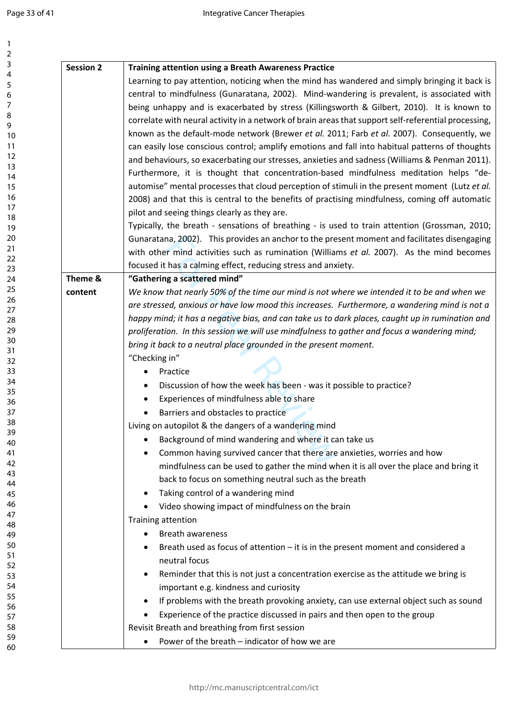| <b>Session 2</b>                                                                              | <b>Training attention using a Breath Awareness Practice</b>                                                                  |  |  |  |
|-----------------------------------------------------------------------------------------------|------------------------------------------------------------------------------------------------------------------------------|--|--|--|
|                                                                                               | Learning to pay attention, noticing when the mind has wandered and simply bringing it back is                                |  |  |  |
|                                                                                               | central to mindfulness (Gunaratana, 2002). Mind-wandering is prevalent, is associated with                                   |  |  |  |
|                                                                                               | being unhappy and is exacerbated by stress (Killingsworth & Gilbert, 2010). It is known to                                   |  |  |  |
|                                                                                               | correlate with neural activity in a network of brain areas that support self-referential processing,                         |  |  |  |
|                                                                                               | known as the default-mode network (Brewer et al. 2011; Farb et al. 2007). Consequently, we                                   |  |  |  |
|                                                                                               | can easily lose conscious control; amplify emotions and fall into habitual patterns of thoughts                              |  |  |  |
| and behaviours, so exacerbating our stresses, anxieties and sadness (Williams & Penman 2011). |                                                                                                                              |  |  |  |
|                                                                                               | Furthermore, it is thought that concentration-based mindfulness meditation helps "de-                                        |  |  |  |
|                                                                                               | automise" mental processes that cloud perception of stimuli in the present moment (Lutz et al.                               |  |  |  |
|                                                                                               | 2008) and that this is central to the benefits of practising mindfulness, coming off automatic                               |  |  |  |
|                                                                                               | pilot and seeing things clearly as they are.                                                                                 |  |  |  |
|                                                                                               | Typically, the breath - sensations of breathing - is used to train attention (Grossman, 2010;                                |  |  |  |
|                                                                                               | Gunaratana, 2002). This provides an anchor to the present moment and facilitates disengaging                                 |  |  |  |
|                                                                                               | with other mind activities such as rumination (Williams et al. 2007). As the mind becomes                                    |  |  |  |
|                                                                                               | focused it has a calming effect, reducing stress and anxiety.                                                                |  |  |  |
| Theme &                                                                                       | "Gathering a scattered mind"                                                                                                 |  |  |  |
| content                                                                                       | We know that nearly 50% of the time our mind is not where we intended it to be and when we                                   |  |  |  |
|                                                                                               | are stressed, anxious or have low mood this increases. Furthermore, a wandering mind is not a                                |  |  |  |
|                                                                                               | happy mind; it has a negative bias, and can take us to dark places, caught up in rumination and                              |  |  |  |
|                                                                                               | proliferation. In this session we will use mindfulness to gather and focus a wandering mind;                                 |  |  |  |
|                                                                                               | bring it back to a neutral place grounded in the present moment.                                                             |  |  |  |
|                                                                                               | "Checking in"                                                                                                                |  |  |  |
|                                                                                               | Practice<br>٠                                                                                                                |  |  |  |
|                                                                                               | Discussion of how the week has been - was it possible to practice?                                                           |  |  |  |
|                                                                                               | Experiences of mindfulness able to share                                                                                     |  |  |  |
|                                                                                               | Barriers and obstacles to practice                                                                                           |  |  |  |
|                                                                                               | Living on autopilot & the dangers of a wandering mind                                                                        |  |  |  |
| Background of mind wandering and where it can take us<br>٠                                    |                                                                                                                              |  |  |  |
|                                                                                               | Common having survived cancer that there are anxieties, worries and how                                                      |  |  |  |
|                                                                                               | mindfulness can be used to gather the mind when it is all over the place and bring it                                        |  |  |  |
|                                                                                               | back to focus on something neutral such as the breath                                                                        |  |  |  |
|                                                                                               | Taking control of a wandering mind                                                                                           |  |  |  |
|                                                                                               | Video showing impact of mindfulness on the brain                                                                             |  |  |  |
|                                                                                               | Training attention                                                                                                           |  |  |  |
|                                                                                               | <b>Breath awareness</b>                                                                                                      |  |  |  |
|                                                                                               | Breath used as focus of attention $-$ it is in the present moment and considered a                                           |  |  |  |
|                                                                                               | neutral focus                                                                                                                |  |  |  |
|                                                                                               |                                                                                                                              |  |  |  |
|                                                                                               | Reminder that this is not just a concentration exercise as the attitude we bring is<br>important e.g. kindness and curiosity |  |  |  |
|                                                                                               |                                                                                                                              |  |  |  |
|                                                                                               |                                                                                                                              |  |  |  |
|                                                                                               | If problems with the breath provoking anxiety, can use external object such as sound                                         |  |  |  |
|                                                                                               | Experience of the practice discussed in pairs and then open to the group                                                     |  |  |  |
|                                                                                               | Revisit Breath and breathing from first session<br>Power of the breath - indicator of how we are                             |  |  |  |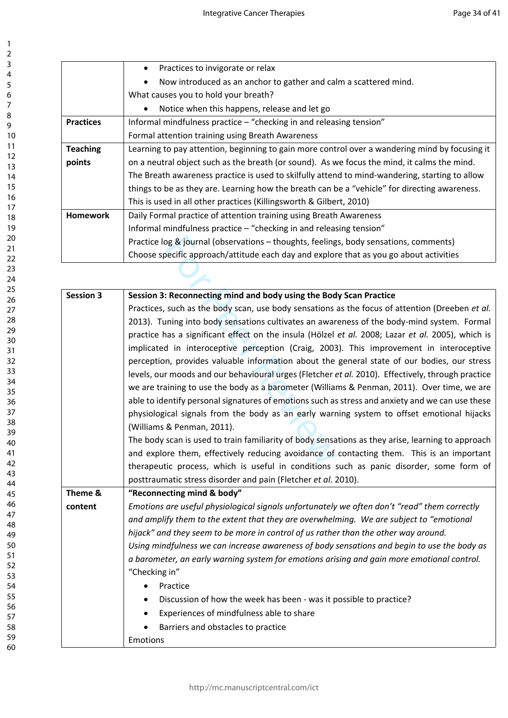|                  | Practices to invigorate or relax                                                               |
|------------------|------------------------------------------------------------------------------------------------|
|                  | Now introduced as an anchor to gather and calm a scattered mind.                               |
|                  | What causes you to hold your breath?                                                           |
|                  | Notice when this happens, release and let go                                                   |
| <b>Practices</b> | Informal mindfulness practice – "checking in and releasing tension"                            |
|                  | Formal attention training using Breath Awareness                                               |
| <b>Teaching</b>  | Learning to pay attention, beginning to gain more control over a wandering mind by focusing it |
| points           | on a neutral object such as the breath (or sound). As we focus the mind, it calms the mind.    |
|                  | The Breath awareness practice is used to skilfully attend to mind-wandering, starting to allow |
|                  | things to be as they are. Learning how the breath can be a "vehicle" for directing awareness.  |
|                  | This is used in all other practices (Killingsworth & Gilbert, 2010)                            |
| <b>Homework</b>  | Daily Formal practice of attention training using Breath Awareness                             |
|                  | Informal mindfulness practice - "checking in and releasing tension"                            |
|                  | Practice log & journal (observations - thoughts, feelings, body sensations, comments)          |
|                  | Choose specific approach/attitude each day and explore that as you go about activities         |

|                  | Practice log & journal (observations - thoughts, feelings, body sensations, comments)             |
|------------------|---------------------------------------------------------------------------------------------------|
|                  | Choose specific approach/attitude each day and explore that as you go about activities            |
|                  |                                                                                                   |
|                  |                                                                                                   |
| <b>Session 3</b> | Session 3: Reconnecting mind and body using the Body Scan Practice                                |
|                  | Practices, such as the body scan, use body sensations as the focus of attention (Dreeben et al.   |
|                  | 2013). Tuning into body sensations cultivates an awareness of the body-mind system. Formal        |
|                  | practice has a significant effect on the insula (Hölzel et al. 2008; Lazar et al. 2005), which is |
|                  | implicated in interoceptive perception (Craig, 2003). This improvement in interoceptive           |
|                  | perception, provides valuable information about the general state of our bodies, our stress       |
|                  | levels, our moods and our behavioural urges (Fletcher et al. 2010). Effectively, through practice |
|                  | we are training to use the body as a barometer (Williams & Penman, 2011). Over time, we are       |
|                  | able to identify personal signatures of emotions such as stress and anxiety and we can use these  |
|                  | physiological signals from the body as an early warning system to offset emotional hijacks        |
|                  | (Williams & Penman, 2011).                                                                        |
|                  | The body scan is used to train familiarity of body sensations as they arise, learning to approach |
|                  | and explore them, effectively reducing avoidance of contacting them. This is an important         |
|                  | therapeutic process, which is useful in conditions such as panic disorder, some form of           |
|                  | posttraumatic stress disorder and pain (Fletcher et al. 2010).                                    |
| Theme &          | "Reconnecting mind & body"                                                                        |
| content          | Emotions are useful physiological signals unfortunately we often don't "read" them correctly      |
|                  | and amplify them to the extent that they are overwhelming. We are subject to "emotional           |
|                  | hijack" and they seem to be more in control of us rather than the other way around.               |
|                  | Using mindfulness we can increase awareness of body sensations and begin to use the body as       |
|                  | a barometer, an early warning system for emotions arising and gain more emotional control.        |
|                  | "Checking in"                                                                                     |
|                  | Practice                                                                                          |
|                  | Discussion of how the week has been - was it possible to practice?<br>٠                           |
|                  | Experiences of mindfulness able to share<br>٠                                                     |
|                  | Barriers and obstacles to practice                                                                |
|                  | Emotions                                                                                          |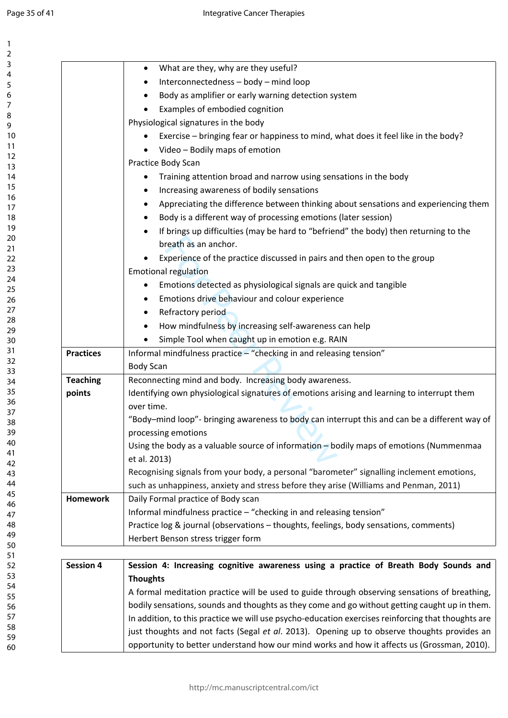| 7               |  |
|-----------------|--|
| 3               |  |
| 4               |  |
|                 |  |
| 5               |  |
| 6               |  |
| 7               |  |
| 8               |  |
|                 |  |
| 9               |  |
| 10              |  |
| 11              |  |
| 12              |  |
|                 |  |
| 13              |  |
| 14              |  |
| 15              |  |
| 16              |  |
|                 |  |
| $\frac{17}{1}$  |  |
| 18              |  |
| 19              |  |
| 20              |  |
| $\overline{21}$ |  |
|                 |  |
| $\overline{22}$ |  |
| $^{23}$         |  |
| 24              |  |
| 25              |  |
|                 |  |
| 26              |  |
| 27              |  |
| 28              |  |
| 29              |  |
|                 |  |
| 30              |  |
| $\overline{31}$ |  |
| $\overline{32}$ |  |
| 33              |  |
| 34              |  |
|                 |  |
| 35              |  |
| 36              |  |
| 37              |  |
| 38              |  |
|                 |  |
| 39              |  |
| 40              |  |
| 41              |  |
| 4.<br>,         |  |
|                 |  |
| ξ<br>4          |  |
| 44              |  |
| 45              |  |
| 46              |  |
|                 |  |
| 4               |  |
| 48              |  |
| 49<br>€         |  |
| 50              |  |
|                 |  |
| 51              |  |
| 5.<br>2         |  |
| 5.<br>ξ         |  |
| 54              |  |
|                 |  |
| 55              |  |
| 56              |  |
| 5               |  |
| 58              |  |
|                 |  |
| 59              |  |
| 60              |  |

|                  | What are they, why are they useful?                                                                                         |
|------------------|-----------------------------------------------------------------------------------------------------------------------------|
|                  | Interconnectedness - body - mind loop                                                                                       |
|                  | Body as amplifier or early warning detection system                                                                         |
|                  | Examples of embodied cognition                                                                                              |
|                  | Physiological signatures in the body                                                                                        |
|                  | Exercise – bringing fear or happiness to mind, what does it feel like in the body?                                          |
|                  | Video - Bodily maps of emotion                                                                                              |
|                  | Practice Body Scan                                                                                                          |
|                  | Training attention broad and narrow using sensations in the body                                                            |
|                  | Increasing awareness of bodily sensations                                                                                   |
|                  | Appreciating the difference between thinking about sensations and experiencing them                                         |
|                  | Body is a different way of processing emotions (later session)                                                              |
|                  | If brings up difficulties (may be hard to "befriend" the body) then returning to the                                        |
|                  | breath as an anchor.                                                                                                        |
|                  | Experience of the practice discussed in pairs and then open to the group                                                    |
|                  | <b>Emotional regulation</b>                                                                                                 |
|                  | Emotions detected as physiological signals are quick and tangible                                                           |
|                  | Emotions drive behaviour and colour experience                                                                              |
|                  | Refractory period                                                                                                           |
|                  | How mindfulness by increasing self-awareness can help                                                                       |
|                  | Simple Tool when caught up in emotion e.g. RAIN                                                                             |
| <b>Practices</b> | Informal mindfulness practice - "checking in and releasing tension"                                                         |
|                  | <b>Body Scan</b>                                                                                                            |
| <b>Teaching</b>  | Reconnecting mind and body. Increasing body awareness.                                                                      |
| points           | Identifying own physiological signatures of emotions arising and learning to interrupt them                                 |
|                  | over time.                                                                                                                  |
|                  | "Body-mind loop"- bringing awareness to body can interrupt this and can be a different way of                               |
|                  | processing emotions                                                                                                         |
|                  | Using the body as a valuable source of information - bodily maps of emotions (Nummenmaa                                     |
|                  | et al. 2013)                                                                                                                |
|                  | Recognising signals from your body, a personal "barometer" signalling inclement emotions,                                   |
|                  | such as unhappiness, anxiety and stress before they arise (Williams and Penman, 2011)                                       |
| <b>Homework</b>  | Daily Formal practice of Body scan                                                                                          |
|                  | Informal mindfulness practice - "checking in and releasing tension"                                                         |
|                  | Practice log & journal (observations - thoughts, feelings, body sensations, comments)<br>Herbert Benson stress trigger form |
|                  |                                                                                                                             |
| <b>Session 4</b> | Session 4: Increasing cognitive awareness using a practice of Breath Body Sounds and                                        |
|                  | <b>Thoughts</b>                                                                                                             |
|                  | A formal meditation practice will be used to guide through observing sensations of breathing,                               |
|                  | bodily sensations, sounds and thoughts as they come and go without getting caught up in them.                               |
|                  | In addition, to this practice we will use psycho-education exercises reinforcing that thoughts are                          |
|                  | just thoughts and not facts (Segal et al. 2013). Opening up to observe thoughts provides an                                 |
|                  | opportunity to better understand how our mind works and how it affects us (Grossman, 2010).                                 |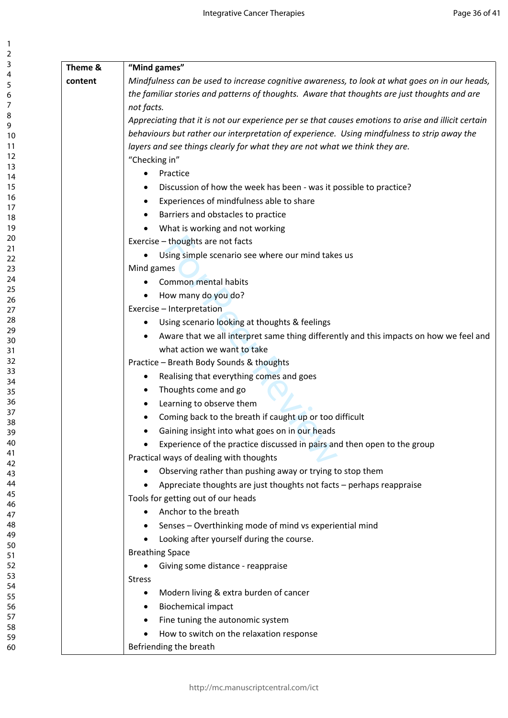| ı<br>$\overline{c}$              |  |
|----------------------------------|--|
| 3                                |  |
| 4                                |  |
| 5                                |  |
| 6                                |  |
|                                  |  |
| 8                                |  |
| 9                                |  |
| 10                               |  |
| 1<br>1                           |  |
| $\mathbf{1}$<br>$\overline{c}$   |  |
| $\overline{13}$                  |  |
| 14<br>15                         |  |
|                                  |  |
| 16                               |  |
| $\overline{7}$<br>1<br>18        |  |
| 19                               |  |
| 20                               |  |
| $\overline{21}$                  |  |
| $\overline{2}$<br>$\overline{c}$ |  |
| 23                               |  |
|                                  |  |
| 24<br>25<br>26                   |  |
|                                  |  |
| $^{27}$                          |  |
| 28                               |  |
| 29                               |  |
| 30                               |  |
| $\overline{\phantom{0}31}$       |  |
| $\overline{32}$                  |  |
| 33                               |  |
| $\frac{34}{5}$                   |  |
| 35<br>36                         |  |
| -<br>37                          |  |
| 38                               |  |
| 39                               |  |
| 40                               |  |
| 41                               |  |
| 4<br>C                           |  |
| 43                               |  |
| 44                               |  |
| 45                               |  |
| 46                               |  |
| 47                               |  |
| 48                               |  |
| 49                               |  |
| 50                               |  |
| 51                               |  |
| 5<br>$\overline{\phantom{0}}$    |  |
| 53                               |  |
| 54                               |  |
| 55                               |  |
| 56<br>5.                         |  |
| 58                               |  |
| 59                               |  |
| 60                               |  |
|                                  |  |

| Theme & | "Mind games"                                                                                        |  |  |  |
|---------|-----------------------------------------------------------------------------------------------------|--|--|--|
| content | Mindfulness can be used to increase cognitive awareness, to look at what goes on in our heads,      |  |  |  |
|         | the familiar stories and patterns of thoughts. Aware that thoughts are just thoughts and are        |  |  |  |
|         | not facts.                                                                                          |  |  |  |
|         | Appreciating that it is not our experience per se that causes emotions to arise and illicit certain |  |  |  |
|         | behaviours but rather our interpretation of experience. Using mindfulness to strip away the         |  |  |  |
|         | layers and see things clearly for what they are not what we think they are.                         |  |  |  |
|         | "Checking in"                                                                                       |  |  |  |
|         | Practice<br>$\bullet$                                                                               |  |  |  |
|         | Discussion of how the week has been - was it possible to practice?<br>٠                             |  |  |  |
|         | Experiences of mindfulness able to share<br>٠                                                       |  |  |  |
|         | Barriers and obstacles to practice<br>٠                                                             |  |  |  |
|         | What is working and not working<br>$\bullet$                                                        |  |  |  |
|         | Exercise - thoughts are not facts                                                                   |  |  |  |
|         | Using simple scenario see where our mind takes us                                                   |  |  |  |
|         | Mind games                                                                                          |  |  |  |
|         | Common mental habits                                                                                |  |  |  |
|         | How many do you do?                                                                                 |  |  |  |
|         | Exercise - Interpretation                                                                           |  |  |  |
|         | Using scenario looking at thoughts & feelings<br>٠                                                  |  |  |  |
|         | Aware that we all interpret same thing differently and this impacts on how we feel and<br>٠         |  |  |  |
|         | what action we want to take                                                                         |  |  |  |
|         | Practice - Breath Body Sounds & thoughts                                                            |  |  |  |
|         | Realising that everything comes and goes<br>٠                                                       |  |  |  |
|         | Thoughts come and go<br>٠                                                                           |  |  |  |
|         | Learning to observe them<br>٠                                                                       |  |  |  |
|         | Coming back to the breath if caught up or too difficult                                             |  |  |  |
|         | Gaining insight into what goes on in our heads                                                      |  |  |  |
|         | Experience of the practice discussed in pairs and then open to the group<br>$\bullet$               |  |  |  |
|         | Practical ways of dealing with thoughts                                                             |  |  |  |
|         | Observing rather than pushing away or trying to stop them<br>٠                                      |  |  |  |
|         | Appreciate thoughts are just thoughts not facts - perhaps reappraise                                |  |  |  |
|         | Tools for getting out of our heads                                                                  |  |  |  |
|         | Anchor to the breath<br>٠                                                                           |  |  |  |
|         | Senses - Overthinking mode of mind vs experiential mind                                             |  |  |  |
|         | Looking after yourself during the course.                                                           |  |  |  |
|         | <b>Breathing Space</b>                                                                              |  |  |  |
|         | Giving some distance - reappraise                                                                   |  |  |  |
|         | <b>Stress</b>                                                                                       |  |  |  |
|         | Modern living & extra burden of cancer<br>٠                                                         |  |  |  |
|         | <b>Biochemical impact</b><br>٠                                                                      |  |  |  |
|         | Fine tuning the autonomic system<br>٠                                                               |  |  |  |
|         | How to switch on the relaxation response<br>$\bullet$                                               |  |  |  |
|         | Befriending the breath                                                                              |  |  |  |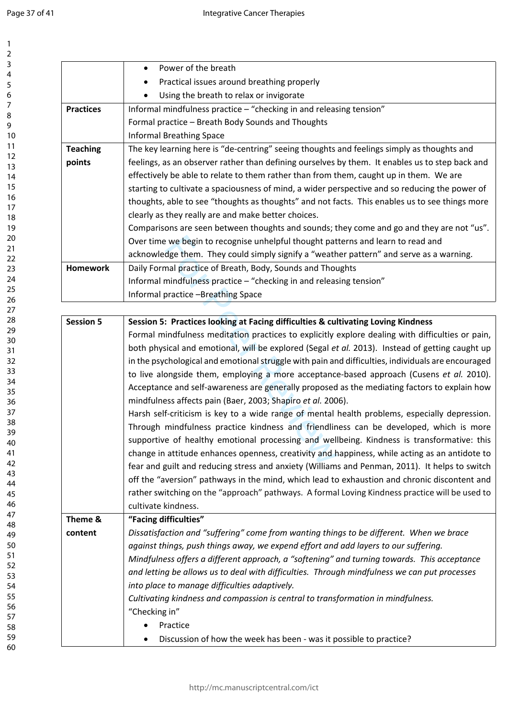|                  | Power of the breath<br>$\bullet$                                                                   |
|------------------|----------------------------------------------------------------------------------------------------|
|                  | Practical issues around breathing properly<br>$\bullet$                                            |
|                  | Using the breath to relax or invigorate                                                            |
| <b>Practices</b> | Informal mindfulness practice - "checking in and releasing tension"                                |
|                  | Formal practice - Breath Body Sounds and Thoughts                                                  |
|                  | <b>Informal Breathing Space</b>                                                                    |
| <b>Teaching</b>  | The key learning here is "de-centring" seeing thoughts and feelings simply as thoughts and         |
| points           | feelings, as an observer rather than defining ourselves by them. It enables us to step back and    |
|                  | effectively be able to relate to them rather than from them, caught up in them. We are             |
|                  | starting to cultivate a spaciousness of mind, a wider perspective and so reducing the power of     |
|                  | thoughts, able to see "thoughts as thoughts" and not facts. This enables us to see things more     |
|                  | clearly as they really are and make better choices.                                                |
|                  | Comparisons are seen between thoughts and sounds; they come and go and they are not "us".          |
|                  | Over time we begin to recognise unhelpful thought patterns and learn to read and                   |
|                  | acknowledge them. They could simply signify a "weather pattern" and serve as a warning.            |
| <b>Homework</b>  | Daily Formal practice of Breath, Body, Sounds and Thoughts                                         |
|                  | Informal mindfulness practice - "checking in and releasing tension"                                |
|                  | Informal practice -Breathing Space                                                                 |
|                  |                                                                                                    |
| <b>Session 5</b> | Session 5: Practices looking at Facing difficulties & cultivating Loving Kindness                  |
|                  | Formal mindfulness meditation practices to explicitly explore dealing with difficulties or pain,   |
|                  | both physical and emotional, will be explored (Segal et al. 2013). Instead of getting caught up    |
|                  | in the psychological and emotional struggle with pain and difficulties, individuals are encouraged |
|                  | to live alongside them, employing a more acceptance-based approach (Cusens et al. 2010).           |
|                  | Acceptance and self-awareness are generally proposed as the mediating factors to explain how       |
|                  | mindfulness affects pain (Baer, 2003; Shapiro et al. 2006).                                        |
|                  | Harsh self-criticism is key to a wide range of mental health problems, especially depression.      |
|                  | Through mindfulness practice kindness and friendliness can be developed, which is more             |
|                  | supportive of healthy emotional processing and wellbeing. Kindness is transformative: this         |
|                  | change in attitude enhances openness, creativity and happiness, while acting as an antidote to     |
|                  | fear and guilt and reducing stress and anxiety (Williams and Penman, 2011). It helps to switch     |
|                  | off the "aversion" pathways in the mind, which lead to exhaustion and chronic discontent and       |
|                  | rather switching on the "approach" pathways. A formal Loving Kindness practice will be used to     |
|                  | cultivate kindness.                                                                                |
| Theme &          | "Facing difficulties"                                                                              |
| content          | Dissatisfaction and "suffering" come from wanting things to be different. When we brace            |
|                  | against things, push things away, we expend effort and add layers to our suffering.                |
|                  | Mindfulness offers a different approach, a "softening" and turning towards. This acceptance        |
|                  | and letting be allows us to deal with difficulties. Through mindfulness we can put processes       |
|                  | into place to manage difficulties adaptively.                                                      |
|                  | Cultivating kindness and compassion is central to transformation in mindfulness.                   |
|                  | "Checking in"                                                                                      |
|                  | Practice                                                                                           |
|                  | Discussion of how the week has been - was it possible to practice?                                 |
|                  |                                                                                                    |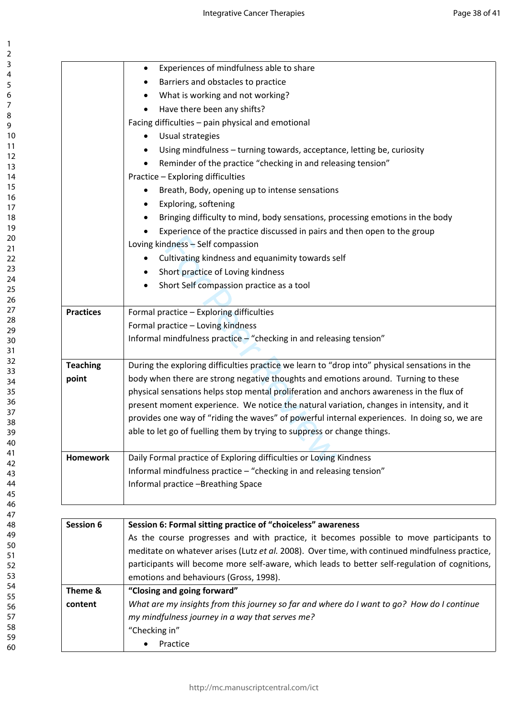|                  | Experiences of mindfulness able to share<br>$\bullet$                                           |  |  |
|------------------|-------------------------------------------------------------------------------------------------|--|--|
|                  | Barriers and obstacles to practice<br>٠                                                         |  |  |
|                  | What is working and not working?                                                                |  |  |
|                  | Have there been any shifts?<br>$\bullet$                                                        |  |  |
|                  | Facing difficulties - pain physical and emotional                                               |  |  |
|                  | Usual strategies<br>$\bullet$                                                                   |  |  |
|                  | Using mindfulness - turning towards, acceptance, letting be, curiosity<br>٠                     |  |  |
|                  | Reminder of the practice "checking in and releasing tension"<br>$\bullet$                       |  |  |
|                  | Practice - Exploring difficulties                                                               |  |  |
|                  | Breath, Body, opening up to intense sensations<br>$\bullet$                                     |  |  |
|                  | Exploring, softening<br>$\bullet$                                                               |  |  |
|                  | Bringing difficulty to mind, body sensations, processing emotions in the body<br>٠              |  |  |
|                  | Experience of the practice discussed in pairs and then open to the group                        |  |  |
|                  | Loving kindness - Self compassion                                                               |  |  |
|                  | Cultivating kindness and equanimity towards self                                                |  |  |
|                  | Short practice of Loving kindness<br>$\bullet$                                                  |  |  |
|                  | Short Self compassion practice as a tool<br>٠                                                   |  |  |
|                  |                                                                                                 |  |  |
| <b>Practices</b> | Formal practice - Exploring difficulties                                                        |  |  |
|                  | Formal practice - Loving kindness                                                               |  |  |
|                  | Informal mindfulness practice - "checking in and releasing tension"                             |  |  |
|                  |                                                                                                 |  |  |
| <b>Teaching</b>  | During the exploring difficulties practice we learn to "drop into" physical sensations in the   |  |  |
| point            | body when there are strong negative thoughts and emotions around. Turning to these              |  |  |
|                  | physical sensations helps stop mental proliferation and anchors awareness in the flux of        |  |  |
|                  | present moment experience. We notice the natural variation, changes in intensity, and it        |  |  |
|                  | provides one way of "riding the waves" of powerful internal experiences. In doing so, we are    |  |  |
|                  | able to let go of fuelling them by trying to suppress or change things.                         |  |  |
|                  |                                                                                                 |  |  |
| <b>Homework</b>  | Daily Formal practice of Exploring difficulties or Loving Kindness                              |  |  |
|                  | Informal mindfulness practice - "checking in and releasing tension"                             |  |  |
|                  | Informal practice -Breathing Space                                                              |  |  |
|                  |                                                                                                 |  |  |
| <b>Session 6</b> | Session 6: Formal sitting practice of "choiceless" awareness                                    |  |  |
|                  | As the course progresses and with practice, it becomes possible to move participants to         |  |  |
|                  | meditate on whatever arises (Lutz et al. 2008). Over time, with continued mindfulness practice, |  |  |
|                  | participants will become more self-aware, which leads to better self-regulation of cognitions,  |  |  |
|                  | emotions and behaviours (Gross, 1998).                                                          |  |  |
| Theme &          | "Closing and going forward"                                                                     |  |  |
| content          | What are my insights from this journey so far and where do I want to go? How do I continue      |  |  |
|                  | my mindfulness journey in a way that serves me?                                                 |  |  |
|                  | "Checking in"                                                                                   |  |  |
|                  | Practice                                                                                        |  |  |
|                  |                                                                                                 |  |  |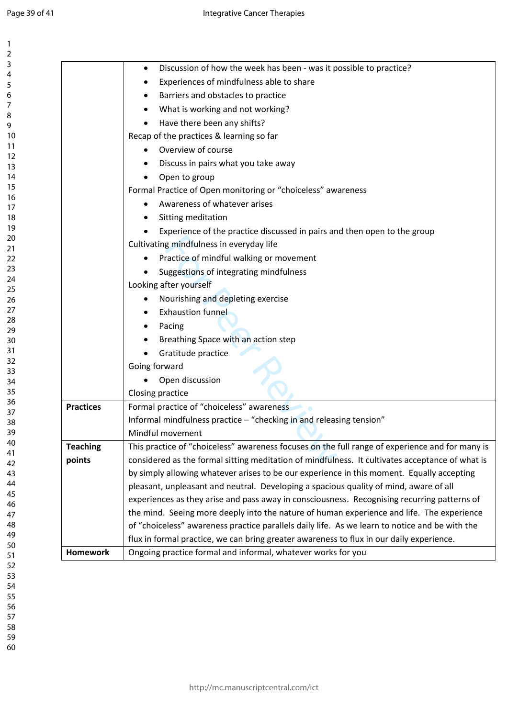| 1                    |  |
|----------------------|--|
| 2                    |  |
| 3                    |  |
| 4                    |  |
| 5                    |  |
| 6<br>7               |  |
|                      |  |
| 8                    |  |
| 9                    |  |
| 10                   |  |
| 1<br>1               |  |
|                      |  |
|                      |  |
| 12<br>13<br>14<br>15 |  |
|                      |  |
| 16<br>17             |  |
| 18                   |  |
| 19                   |  |
| $\overline{20}$      |  |
| $\frac{21}{2}$       |  |
|                      |  |
| 22<br>23             |  |
| $\overline{24}$      |  |
| 25                   |  |
| 26                   |  |
| $^{27}$              |  |
| 28                   |  |
| 29                   |  |
| 30                   |  |
| 31                   |  |
| 32                   |  |
| 33                   |  |
| 34                   |  |
| 35                   |  |
| 36                   |  |
| 37                   |  |
| -<br>3<br>Š<br>Ş     |  |
| 39                   |  |
| 40                   |  |
| 41<br>42             |  |
| 43                   |  |
| 44                   |  |
| 45                   |  |
| 46                   |  |
| 47                   |  |
| 48                   |  |
| 49                   |  |
| 50                   |  |
| 51                   |  |
| 52                   |  |
| 53                   |  |
| 54                   |  |
| 55                   |  |
| 56                   |  |
| 57                   |  |
| 58                   |  |
| 59<br>C              |  |

|                  | Discussion of how the week has been - was it possible to practice?<br>$\bullet$                 |  |
|------------------|-------------------------------------------------------------------------------------------------|--|
|                  | Experiences of mindfulness able to share                                                        |  |
|                  | Barriers and obstacles to practice                                                              |  |
|                  | What is working and not working?                                                                |  |
|                  | Have there been any shifts?                                                                     |  |
|                  | Recap of the practices & learning so far                                                        |  |
|                  | Overview of course                                                                              |  |
|                  | Discuss in pairs what you take away                                                             |  |
|                  | Open to group<br>$\bullet$                                                                      |  |
|                  | Formal Practice of Open monitoring or "choiceless" awareness                                    |  |
|                  | Awareness of whatever arises                                                                    |  |
|                  | Sitting meditation<br>$\bullet$                                                                 |  |
|                  | Experience of the practice discussed in pairs and then open to the group                        |  |
|                  | Cultivating mindfulness in everyday life                                                        |  |
|                  | Practice of mindful walking or movement<br>٠                                                    |  |
|                  | Suggestions of integrating mindfulness                                                          |  |
|                  | Looking after yourself                                                                          |  |
|                  | Nourishing and depleting exercise<br>٠                                                          |  |
|                  | <b>Exhaustion funnel</b>                                                                        |  |
|                  | Pacing                                                                                          |  |
|                  | Breathing Space with an action step                                                             |  |
|                  | Gratitude practice                                                                              |  |
|                  | Going forward                                                                                   |  |
|                  | Open discussion                                                                                 |  |
|                  | Closing practice                                                                                |  |
| <b>Practices</b> | Formal practice of "choiceless" awareness                                                       |  |
|                  | Informal mindfulness practice - "checking in and releasing tension"                             |  |
|                  | Mindful movement                                                                                |  |
| <b>Teaching</b>  | This practice of "choiceless" awareness focuses on the full range of experience and for many is |  |
| points           | considered as the formal sitting meditation of mindfulness. It cultivates acceptance of what is |  |
|                  | by simply allowing whatever arises to be our experience in this moment. Equally accepting       |  |
|                  | pleasant, unpleasant and neutral. Developing a spacious quality of mind, aware of all           |  |
|                  | experiences as they arise and pass away in consciousness. Recognising recurring patterns of     |  |
|                  | the mind. Seeing more deeply into the nature of human experience and life. The experience       |  |
|                  | of "choiceless" awareness practice parallels daily life. As we learn to notice and be with the  |  |
|                  | flux in formal practice, we can bring greater awareness to flux in our daily experience.        |  |
| <b>Homework</b>  | Ongoing practice formal and informal, whatever works for you                                    |  |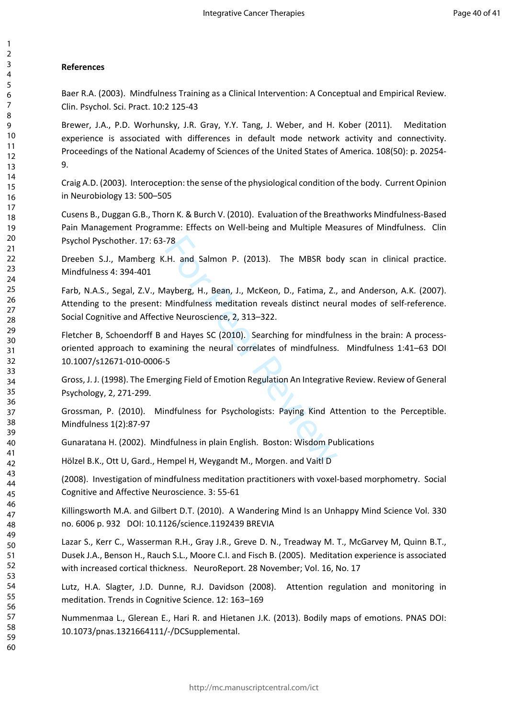## **References**

Baer R.A. (2003). Mindfulness Training as a Clinical Intervention: A Conceptual and Empirical Review. Clin. Psychol. Sci. Pract. 10:2 125-43

Brewer, J.A., P.D. Worhunsky, J.R. Gray, Y.Y. Tang, J. Weber, and H. Kober (2011). Meditation experience is associated with differences in default mode network activity and connectivity. Proceedings of the National Academy of Sciences of the United States of America. 108(50): p. 20254- 9.

Craig A.D. (2003). Interoception: the sense of the physiological condition of the body. Current Opinion in Neurobiology 13: 500–505

Cusens B., Duggan G.B., Thorn K. & Burch V. (2010). Evaluation of the Breathworks Mindfulness-Based Pain Management Programme: Effects on Well-being and Multiple Measures of Mindfulness. Clin Psychol Pyschother. 17: 63-78

Dreeben S.J., Mamberg K.H. and Salmon P. (2013). The MBSR body scan in clinical practice. Mindfulness 4: 394-401

78<br>
I.H. and Salmon P. (2013). The MBSR boom.<br>
Hayberg, H., Bean, J., McKeon, D., Fatima, Z.,<br>
Mindfulness meditation reveals distinct neu<br>
ve Neuroscience, 2, 313–322.<br>
And Hayes SC (2010). Searching for mindfulness<br>
5<br>
T Farb, N.A.S., Segal, Z.V., Mayberg, H., Bean, J., McKeon, D., Fatima, Z., and Anderson, A.K. (2007). Attending to the present: Mindfulness meditation reveals distinct neural modes of self-reference. Social Cognitive and Affective Neuroscience, 2, 313–322.

Fletcher B, Schoendorff B and Hayes SC (2010). Searching for mindfulness in the brain: A processoriented approach to examining the neural correlates of mindfulness. Mindfulness 1:41–63 DOI 10.1007/s12671-010-0006-5

Gross, J. J. (1998). The Emerging Field of Emotion Regulation An Integrative Review. Review of General Psychology, 2, 271-299.

Grossman, P. (2010). Mindfulness for Psychologists: Paying Kind Attention to the Perceptible. Mindfulness 1(2):87-97

Gunaratana H. (2002). Mindfulness in plain English. Boston: Wisdom Publications

Hölzel B.K., Ott U, Gard., Hempel H, Weygandt M., Morgen. and Vaitl D

(2008). Investigation of mindfulness meditation practitioners with voxel-based morphometry. Social Cognitive and Affective Neuroscience. 3: 55-61

Killingsworth M.A. and Gilbert D.T. (2010). A Wandering Mind Is an Unhappy Mind Science Vol. 330 no. 6006 p. 932 DOI: 10.1126/science.1192439 BREVIA

Lazar S., Kerr C., Wasserman R.H., Gray J.R., Greve D. N., Treadway M. T., McGarvey M, Quinn B.T., Dusek J.A., Benson H., Rauch S.L., Moore C.I. and Fisch B. (2005). Meditation experience is associated with increased cortical thickness. NeuroReport. 28 November; Vol. 16, No. 17

Lutz, H.A. Slagter, J.D. Dunne, R.J. Davidson (2008). Attention regulation and monitoring in meditation. Trends in Cognitive Science. 12: 163–169

Nummenmaa L., Glerean E., Hari R. and Hietanen J.K. (2013). Bodily maps of emotions. PNAS DOI: 10.1073/pnas.1321664111/-/DCSupplemental.